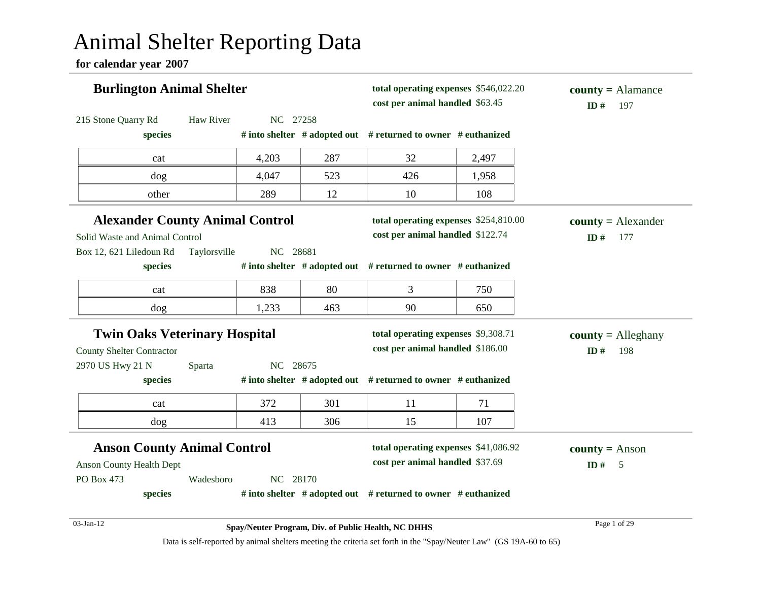# Animal Shelter Reporting Data

**for calendar year 2007**

| <b>Burlington Animal Shelter</b>       |              |          |                                  | total operating expenses \$546,022.20<br>cost per animal handled \$63.45 |            | $county = \text{Alamance}$<br>ID#<br>197 |
|----------------------------------------|--------------|----------|----------------------------------|--------------------------------------------------------------------------|------------|------------------------------------------|
| 215 Stone Quarry Rd<br>species         | Haw River    | NC 27258 |                                  | # into shelter $#$ adopted out $#$ returned to owner $#$ euthanized      |            |                                          |
| cat                                    |              | 4,203    | 287                              | 32                                                                       | 2,497      |                                          |
| dog                                    |              | 4,047    | 523                              | 426                                                                      | 1,958      |                                          |
| other                                  |              | 289      | 12                               | 10                                                                       | 108        |                                          |
| <b>Alexander County Animal Control</b> |              |          |                                  | total operating expenses \$254,810.00                                    |            | $county = Alexander$                     |
| Solid Waste and Animal Control         |              |          | cost per animal handled \$122.74 |                                                                          | ID#<br>177 |                                          |
| Box 12, 621 Liledoun Rd                | Taylorsville | NC 28681 |                                  |                                                                          |            |                                          |
| species                                |              |          |                                  | # into shelter $#$ adopted out $#$ returned to owner $#$ euthanized      |            |                                          |
| cat                                    |              | 838      | 80                               | 3                                                                        | 750        |                                          |
| dog                                    |              | 1,233    | 463                              | 90                                                                       | 650        |                                          |
| <b>Twin Oaks Veterinary Hospital</b>   |              |          |                                  | total operating expenses \$9,308.71                                      |            | $county =$ Alleghany                     |
| <b>County Shelter Contractor</b>       |              |          |                                  | cost per animal handled \$186.00                                         |            | ID#<br>198                               |
| 2970 US Hwy 21 N                       | Sparta       | NC 28675 |                                  |                                                                          |            |                                          |
| species                                |              |          |                                  | # into shelter # adopted out # returned to owner # euthanized            |            |                                          |
| cat                                    |              | 372      | 301                              | 11                                                                       | 71         |                                          |
| dog                                    |              | 413      | 306                              | 15                                                                       | 107        |                                          |
| <b>Anson County Animal Control</b>     |              |          |                                  | total operating expenses \$41,086.92                                     |            | <b>county</b> = Anson                    |
| <b>Anson County Health Dept</b>        |              |          |                                  | cost per animal handled \$37.69                                          |            | ID#<br>$\overline{\phantom{0}}$          |
| PO Box 473                             | Wadesboro    | NC 28170 |                                  |                                                                          |            |                                          |
| species                                |              |          |                                  | # into shelter # adopted out # returned to owner # euthanized            |            |                                          |
| 03-Jan-12                              |              |          |                                  | Spay/Neuter Program, Div. of Public Health, NC DHHS                      |            | Page 1 of 29                             |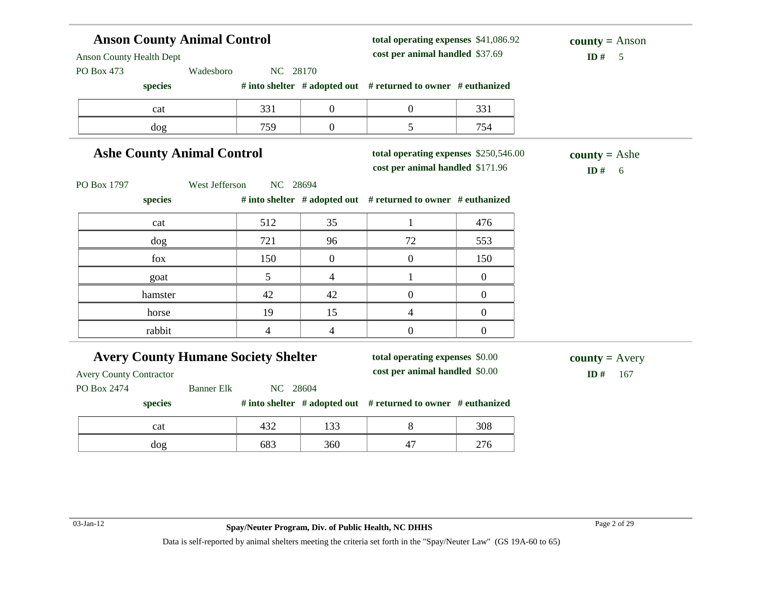#### **Anson County Animal Control** Anson County Health Dept PO Box 473 Wadesboro NC 28170 **species # into shelter # adopted out # returned to owner # euthanized total operating expenses** \$41,086.92 **cost per animal handled**  $ID# 5$ **county =** Anson cat 1 331 0 0 331 dog 1759 0 5 754 **Ashe County Animal Control** PO Box 1797 West Jefferson NC 28694 **species # into shelter # adopted out # returned to owner # euthanized total operating expenses** \$250,546.00 **cost per animal handled**  $$ **county =** Ashe cat 1 512 35 1 476 dog 121 96 72 73 fox 150 0 0 150 goat  $\begin{array}{|c|c|c|c|c|c|c|c|} \hline \text{5} & \text{4} & \text{1} & \text{0} \ \hline \end{array}$ hamster  $42 \t 42 \t 0 \t 0$ horse 19 15 4 0 rabbit 1 4 4 0 0 0 **Avery County Humane Society Shelter** Avery County Contractor PO Box 2474 Banner Elk NC 28604 **species # into shelter # adopted out # returned to owner # euthanized total operating expenses** \$0.00 **cost per animal handled** \$0.00 **ID #** 167 **county =** Avery cat 133 8 308 dog 683 360 47 276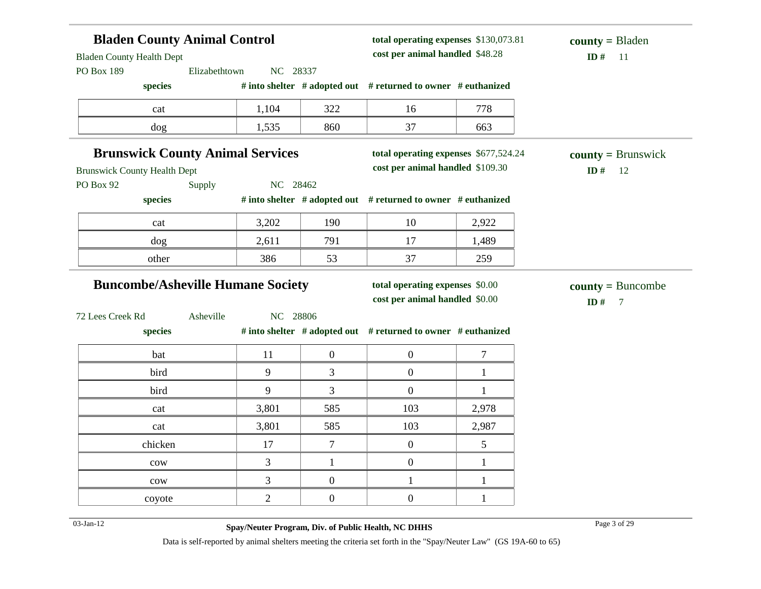| <b>Bladen County Animal Control</b>                             |          | total operating expenses \$130,073.81<br>cost per animal handled \$48.28 |                                                               | $county = B$ laden   |                       |
|-----------------------------------------------------------------|----------|--------------------------------------------------------------------------|---------------------------------------------------------------|----------------------|-----------------------|
| <b>Bladen County Health Dept</b><br>Elizabethtown<br>PO Box 189 | NC 28337 |                                                                          |                                                               |                      | ID#<br>11             |
| species                                                         |          |                                                                          | # into shelter # adopted out # returned to owner # euthanized |                      |                       |
| cat                                                             | 1,104    | 322                                                                      | 16                                                            | 778                  |                       |
| dog                                                             | 1,535    | 860                                                                      | 37                                                            | 663                  |                       |
| <b>Brunswick County Animal Services</b>                         |          |                                                                          | total operating expenses \$677,524.24                         |                      | $county = Brunswick$  |
| <b>Brunswick County Health Dept</b>                             |          | cost per animal handled \$109.30                                         |                                                               | ID#<br><sup>12</sup> |                       |
| PO Box 92<br>Supply                                             | NC 28462 |                                                                          |                                                               |                      |                       |
| species                                                         |          |                                                                          | # into shelter # adopted out # returned to owner # euthanized |                      |                       |
| cat                                                             | 3,202    | 190                                                                      | 10                                                            | 2,922                |                       |
| dog                                                             | 2,611    | 791                                                                      | 17                                                            | 1,489                |                       |
| other                                                           | 386      | 53                                                                       | 37                                                            | 259                  |                       |
| <b>Buncombe/Asheville Humane Society</b>                        |          |                                                                          | total operating expenses \$0.00                               |                      | $county = Buncombe$   |
|                                                                 |          |                                                                          | cost per animal handled \$0.00                                |                      | ID#<br>$\overline{7}$ |
| 72 Lees Creek Rd<br>Asheville                                   | NC 28806 |                                                                          |                                                               |                      |                       |
| species                                                         |          |                                                                          | # into shelter # adopted out # returned to owner # euthanized |                      |                       |
| bat                                                             | 11       | $\boldsymbol{0}$                                                         | $\boldsymbol{0}$                                              | 7                    |                       |
| bird                                                            | 9        | 3                                                                        | $\boldsymbol{0}$                                              | $\mathbf{1}$         |                       |
| bird                                                            | 9        | 3                                                                        | $\overline{0}$                                                | $\mathbf{1}$         |                       |
| cat                                                             | 3,801    | 585                                                                      | 103                                                           | 2,978                |                       |
|                                                                 |          |                                                                          |                                                               |                      |                       |
| cat                                                             | 3,801    | 585                                                                      | 103                                                           | 2,987                |                       |
| chicken                                                         | 17       | $\overline{7}$                                                           | $\boldsymbol{0}$                                              | 5                    |                       |
| $_{\text{cow}}$                                                 | 3        | $\mathbf{1}$                                                             | $\overline{0}$                                                | $\mathbf{1}$         |                       |
| cow                                                             | 3        | $\overline{0}$                                                           | $\mathbf{1}$                                                  | $\mathbf{1}$         |                       |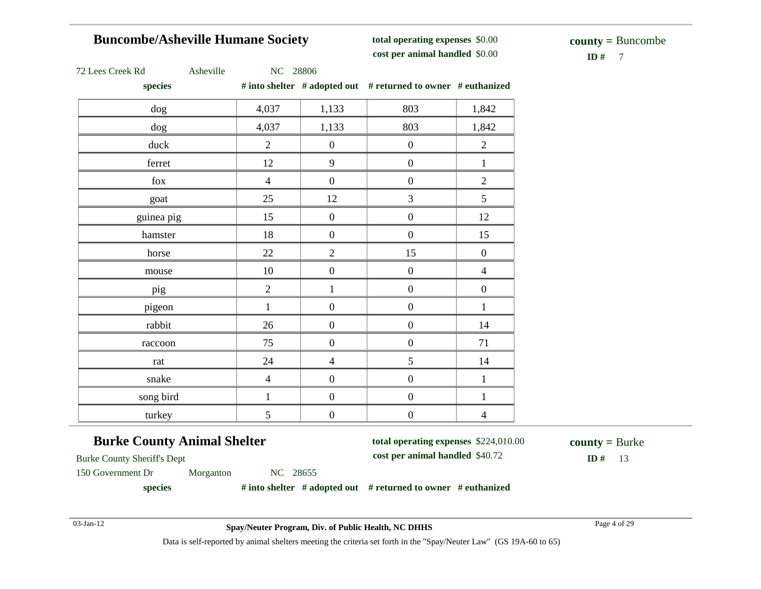#### **Buncombe/Asheville Humane Society**

**total operating expenses** \$0.00 **cost per animal handled**

 $\mathbf{ID} \#$  7 **county =** Buncombe

| 72 Lees Creek Rd |  |
|------------------|--|
|------------------|--|

Asheville NC 28806

**species # into shelter # adopted out # returned to owner # euthanized**

| $_{\rm prec}$ |                |                  | " mo shener " adopted one " returned to owner " cumumized |                  |
|---------------|----------------|------------------|-----------------------------------------------------------|------------------|
| dog           | 4,037          | 1,133            | 803                                                       | 1,842            |
| dog           | 4,037          | 1,133            | 803                                                       | 1,842            |
| duck          | $\overline{2}$ | $\boldsymbol{0}$ | $\boldsymbol{0}$                                          | $\sqrt{2}$       |
| ferret        | 12             | 9                | $\boldsymbol{0}$                                          | $\mathbf{1}$     |
| ${\rm fox}$   | $\overline{4}$ | $\boldsymbol{0}$ | $\boldsymbol{0}$                                          | $\overline{2}$   |
| goat          | 25             | 12               | $\overline{3}$                                            | 5                |
| guinea pig    | 15             | $\boldsymbol{0}$ | $\boldsymbol{0}$                                          | 12               |
| hamster       | 18             | $\boldsymbol{0}$ | $\boldsymbol{0}$                                          | 15               |
| horse         | 22             | $\overline{2}$   | 15                                                        | $\boldsymbol{0}$ |
| mouse         | $10\,$         | $\boldsymbol{0}$ | $\boldsymbol{0}$                                          | $\overline{4}$   |
| pig           | $\overline{2}$ | $\mathbf{1}$     | $\boldsymbol{0}$                                          | $\boldsymbol{0}$ |
| pigeon        | $\mathbf{1}$   | $\boldsymbol{0}$ | $\boldsymbol{0}$                                          | $\,1\,$          |
| rabbit        | 26             | $\boldsymbol{0}$ | $\boldsymbol{0}$                                          | 14               |
| raccoon       | 75             | $\boldsymbol{0}$ | $\boldsymbol{0}$                                          | 71               |
| rat           | 24             | $\overline{4}$   | 5                                                         | 14               |
| snake         | $\overline{4}$ | $\boldsymbol{0}$ | $\boldsymbol{0}$                                          | $\mathbf{1}$     |
| song bird     | $\mathbf{1}$   | $\boldsymbol{0}$ | $\boldsymbol{0}$                                          | $\mathbf{1}$     |
| turkey        | 5              | $\boldsymbol{0}$ | $\boldsymbol{0}$                                          | $\overline{4}$   |

#### **Burke County Animal Shelter**

**total operating expenses** \$224,010.00

**cost per animal handled** \$40.72 **ID #** 13

**county =** Burke

Burke County Sheriff's Dept 150 Government Dr Morganton NC 28655

**species # into shelter # adopted out # returned to owner # euthanized**

03-Jan-12 Page 4 of 29 **Spay/Neuter Program, Div. of Public Health, NC DHHS**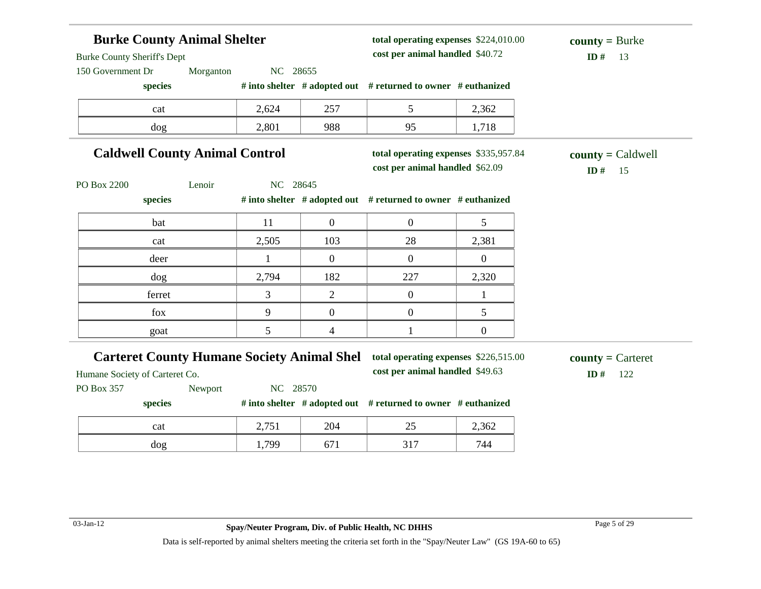#### **Burke County Animal Shelter** Burke County Sheriff's Dept 150 Government Dr Morganton NC 28655 **species # into shelter # adopted out # returned to owner # euthanized total operating expenses** \$224,010.00 **cost per animal handled**  $ID# 13$ **county =** Burke cat 2,624 257 5 2,362 dog 2,801 988 95 1,718 **Caldwell County Animal Control** PO Box 2200 Lenoir NC 28645 **species # into shelter # adopted out # returned to owner # euthanized total operating expenses** \$335,957.84 **cost per animal handled**  $$ **county =** Caldwell bat  $11 \t 0 \t 0 \t 5$ cat 2,505 103 28 2,381 deer 1 0 0 0 0 dog 2,794 182 227 2,320 ferret and  $\begin{array}{ccccccc} 3 & 2 & 0 & 1 \end{array}$ fox  $\begin{array}{|c|c|c|c|c|c|} \hline 9 & 0 & 0 & 5 \ \hline \end{array}$ goat  $\begin{array}{|c|c|c|c|c|c|} \hline \text{5} & \text{4} & \text{1} & \text{0} \ \hline \end{array}$ **Carteret County Humane Society Animal Shel** Humane Society of Carteret Co. PO Box 357 Newport NC 28570 **species # into shelter # adopted out # returned to owner # euthanized total operating expenses** \$226,515.00 **cost per animal handled** \$49.63 **ID #** 122 **county =** Carteret cat 2,751 204 25 2,362 dog 1,799 671 317 744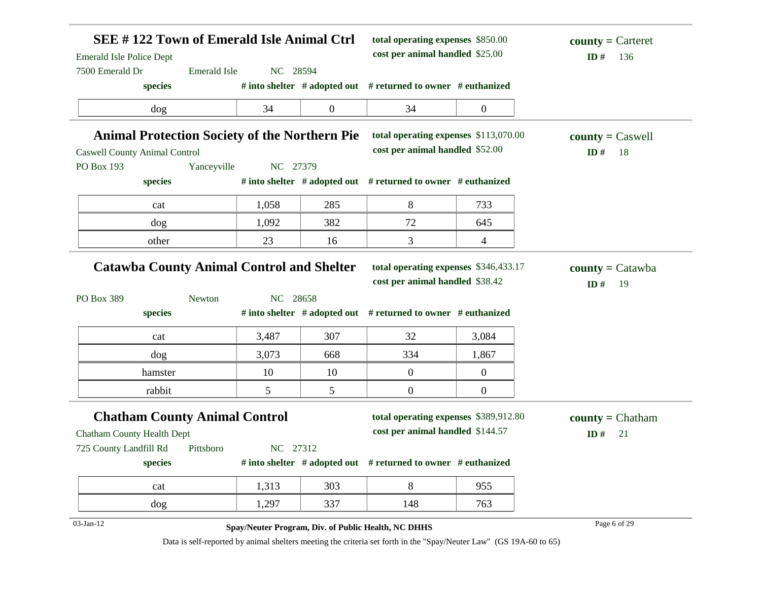| <b>Emerald Isle Police Dept</b><br>7500 Emerald Dr                     | SEE #122 Town of Emerald Isle Animal Ctrl<br><b>Emerald Isle</b><br>NC 28594 |                 | total operating expenses \$850.00<br>cost per animal handled \$25.00                             |                  | $county =$ Carteret<br>ID#<br>136 |
|------------------------------------------------------------------------|------------------------------------------------------------------------------|-----------------|--------------------------------------------------------------------------------------------------|------------------|-----------------------------------|
| species                                                                |                                                                              |                 | # into shelter # adopted out # returned to owner # euthanized                                    |                  |                                   |
| dog                                                                    | 34                                                                           | $\overline{0}$  | 34                                                                                               | $\boldsymbol{0}$ |                                   |
| <b>Animal Protection Society of the Northern Pie</b>                   |                                                                              |                 | total operating expenses \$113,070.00                                                            |                  | $county = C$ aswell               |
| <b>Caswell County Animal Control</b>                                   |                                                                              |                 | cost per animal handled \$52.00                                                                  |                  | ID#<br>18                         |
| PO Box 193                                                             | Yanceyville<br>NC 27379                                                      |                 |                                                                                                  |                  |                                   |
| species                                                                |                                                                              |                 | # into shelter $#$ adopted out $#$ returned to owner $#$ euthanized                              |                  |                                   |
| cat                                                                    | 1,058                                                                        | 285             | 8                                                                                                | 733              |                                   |
| dog                                                                    | 1,092                                                                        | 382             | 72                                                                                               | 645              |                                   |
| other                                                                  | 23                                                                           | 16              | 3                                                                                                | 4                |                                   |
| PO Box 389<br>species                                                  | NC 28658<br>Newton                                                           |                 | cost per animal handled \$38.42<br># into shelter # adopted out # returned to owner # euthanized |                  | ID#<br>19                         |
| cat                                                                    |                                                                              |                 |                                                                                                  |                  |                                   |
|                                                                        | 3,487                                                                        | 307             | 32                                                                                               | 3,084            |                                   |
| dog                                                                    | 3,073                                                                        | 668             | 334                                                                                              | 1,867            |                                   |
| hamster                                                                | 10                                                                           | 10              | $\boldsymbol{0}$                                                                                 | $\boldsymbol{0}$ |                                   |
| rabbit                                                                 | 5                                                                            | $5\overline{)}$ | $\overline{0}$                                                                                   | $\overline{0}$   |                                   |
| <b>Chatham County Animal Control</b>                                   |                                                                              |                 | total operating expenses \$389,912.80                                                            |                  | $\text{county} = \text{Chatham}$  |
|                                                                        |                                                                              |                 | cost per animal handled \$144.57                                                                 |                  | ID#<br>21                         |
|                                                                        | NC 27312<br>Pittsboro                                                        |                 |                                                                                                  |                  |                                   |
| <b>Chatham County Health Dept</b><br>725 County Landfill Rd<br>species |                                                                              |                 | # into shelter # adopted out # returned to owner # euthanized                                    |                  |                                   |
| cat                                                                    | 1,313                                                                        | 303             | 8                                                                                                | 955              |                                   |
| dog                                                                    | 1,297                                                                        | 337             | 148                                                                                              | 763              |                                   |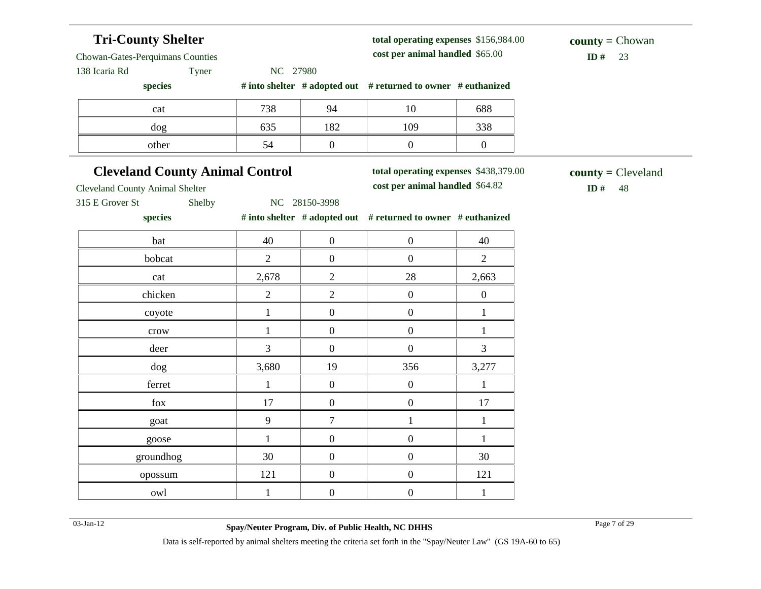#### **Tri-County Shelter** Chowan-Gates-Perquimans Counties 138 Icaria Rd Tyner NC 27980 **species # into shelter # adopted out # returned to owner # euthanized total operating expenses** \$156,984.00 **cost per animal handled**  $$ **county =** Chowan cat 10 10 688 dog 635 | 182 | 109 | 338 other 1 54 0 0 0 0 0 **Cleveland County Animal Control** Cleveland County Animal Shelter 315 E Grover St Shelby NC 28150-3998 **species # into shelter # adopted out # returned to owner # euthanized total operating expenses** \$438,379.00 **cost per animal handled**  $$ **county =** Cleveland bat 1 40 0 0 1 40 bobcat 1 2 0 0 2 cat 2,678 2 28 2,663 chicken  $2 \t 2 \t 0 \t 0$ coyote  $1 \t 0 \t 0 \t 1$ crow  $1 \t 0 \t 0 \t 1$ deer 3 0 0 3 dog 3,680 19 356 3,277 ferret  $1 \t 0 \t 0 \t 1$ fox 17 0 0 17 goat 1 9 7 1 1 1 goose  $1 \t 0 \t 0 \t 1$ groundhog  $30 \t 30 \t 0 \t 0$  30 opossum 121 0 0 121 owl 1 0 0 1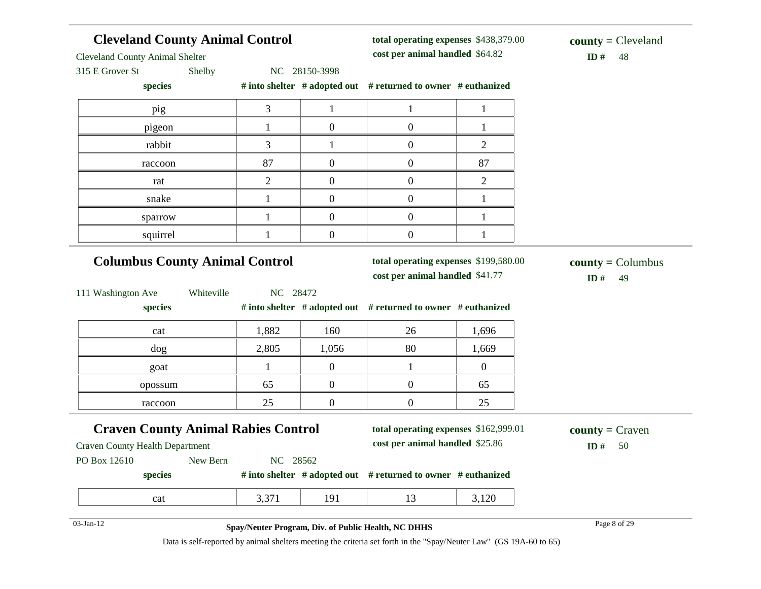| <b>Cleveland County Animal Control</b><br><b>Cleveland County Animal Shelter</b>     |              | total operating expenses \$438,379.00<br>cost per animal handled \$64.82 | $county = Cleveland$<br>ID#<br>48                                        |                |                                                 |
|--------------------------------------------------------------------------------------|--------------|--------------------------------------------------------------------------|--------------------------------------------------------------------------|----------------|-------------------------------------------------|
| 315 E Grover St<br>Shelby                                                            |              | NC 28150-3998                                                            |                                                                          |                |                                                 |
| species                                                                              |              |                                                                          | # into shelter # adopted out # returned to owner # euthanized            |                |                                                 |
| pig                                                                                  | 3            | $\mathbf{1}$                                                             | 1                                                                        | 1              |                                                 |
| pigeon                                                                               | $\mathbf{1}$ | $\boldsymbol{0}$                                                         | $\boldsymbol{0}$                                                         | 1              |                                                 |
| rabbit                                                                               | 3            | $\mathbf{1}$                                                             | $\boldsymbol{0}$                                                         | $\overline{2}$ |                                                 |
| raccoon                                                                              | 87           | $\boldsymbol{0}$                                                         | $\boldsymbol{0}$                                                         | 87             |                                                 |
| rat                                                                                  | 2            | $\boldsymbol{0}$                                                         | $\boldsymbol{0}$                                                         | $\overline{c}$ |                                                 |
| snake                                                                                | 1            | $\overline{0}$                                                           | $\boldsymbol{0}$                                                         | 1              |                                                 |
| sparrow                                                                              | $\mathbf{1}$ | $\overline{0}$                                                           | $\boldsymbol{0}$                                                         | 1              |                                                 |
| squirrel                                                                             |              | $\boldsymbol{0}$                                                         | $\boldsymbol{0}$                                                         |                |                                                 |
| <b>Columbus County Animal Control</b>                                                |              |                                                                          | total operating expenses \$199,580.00<br>cost per animal handled \$41.77 |                | $\text{county} = \text{Columnbus}$<br>ID#<br>49 |
| 111 Washington Ave<br>Whiteville<br>species                                          | NC 28472     |                                                                          | # into shelter # adopted out # returned to owner # euthanized            |                |                                                 |
| cat                                                                                  | 1,882        | 160                                                                      | 26                                                                       | 1,696          |                                                 |
| dog                                                                                  | 2,805        | 1,056                                                                    | 80                                                                       | 1,669          |                                                 |
| goat                                                                                 | $\mathbf{1}$ | $\overline{0}$                                                           | $\mathbf{1}$                                                             | $\overline{0}$ |                                                 |
| opossum                                                                              | 65           | $\overline{0}$                                                           | $\boldsymbol{0}$                                                         | 65             |                                                 |
| raccoon                                                                              | 25           | $\boldsymbol{0}$                                                         | $\boldsymbol{0}$                                                         | 25             |                                                 |
| <b>Craven County Animal Rabies Control</b><br><b>Craven County Health Department</b> |              |                                                                          | total operating expenses \$162,999.01<br>cost per animal handled \$25.86 |                | $county = C$ raven<br>ID#<br>50                 |
| PO Box 12610 New Bern                                                                | NC 28562     |                                                                          |                                                                          |                |                                                 |
| species                                                                              |              |                                                                          | # into shelter $#$ adopted out $#$ returned to owner $#$ euthanized      |                |                                                 |
| cat                                                                                  | 3,371        | 191                                                                      | 13                                                                       | 3,120          |                                                 |
| 03-Jan-12                                                                            |              |                                                                          | Spay/Neuter Program, Div. of Public Health, NC DHHS                      |                | Page 8 of 29                                    |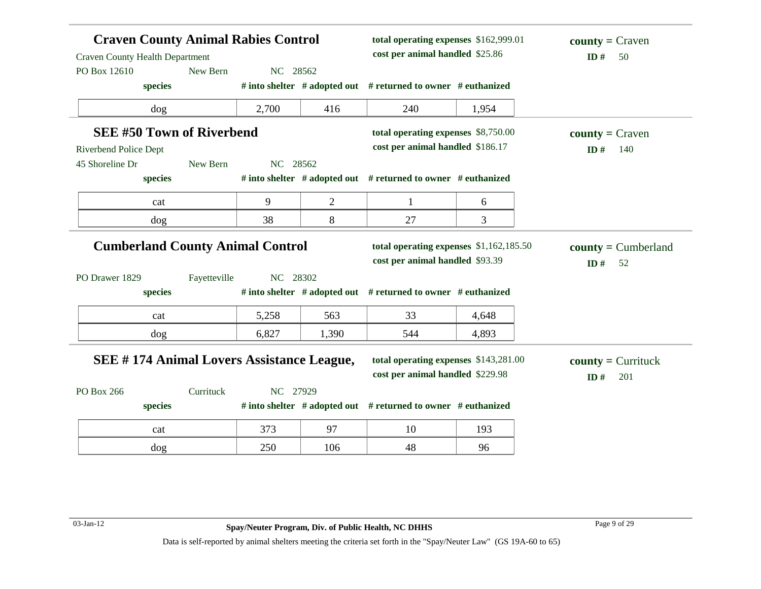| <b>Craven County Animal Rabies Control</b><br><b>Craven County Health Department</b><br>PO Box 12610 | New Bern     | NC 28562 |                | total operating expenses \$162,999.01<br>cost per animal handled \$25.86   |       | $county = Craven$<br>ID#<br>50     |
|------------------------------------------------------------------------------------------------------|--------------|----------|----------------|----------------------------------------------------------------------------|-------|------------------------------------|
| species                                                                                              |              |          |                | # into shelter # adopted out # returned to owner # euthanized              |       |                                    |
| dog                                                                                                  |              | 2,700    | 416            | 240                                                                        | 1,954 |                                    |
| <b>SEE #50 Town of Riverbend</b>                                                                     |              |          |                | total operating expenses \$8,750.00                                        |       | $county = Craven$                  |
| <b>Riverbend Police Dept</b>                                                                         |              |          |                | cost per animal handled \$186.17                                           |       | ID#<br>140                         |
| 45 Shoreline Dr                                                                                      | New Bern     | NC 28562 |                |                                                                            |       |                                    |
| species                                                                                              |              |          |                | # into shelter # adopted out # returned to owner # euthanized              |       |                                    |
| cat                                                                                                  |              | 9        | $\overline{2}$ | 1                                                                          | 6     |                                    |
| dog                                                                                                  |              | 38       | 8              | 27                                                                         | 3     |                                    |
| <b>Cumberland County Animal Control</b><br>PO Drawer 1829                                            | Fayetteville | NC 28302 |                | total operating expenses \$1,162,185.50<br>cost per animal handled \$93.39 |       | $county = Cumberland$<br>ID#<br>52 |
| species                                                                                              |              |          |                | # into shelter # adopted out # returned to owner # euthanized              |       |                                    |
| cat                                                                                                  |              | 5,258    | 563            | 33                                                                         | 4,648 |                                    |
| dog                                                                                                  |              | 6,827    | 1,390          | 544                                                                        | 4,893 |                                    |
| <b>SEE #174 Animal Lovers Assistance League,</b>                                                     |              |          |                | total operating expenses \$143,281.00<br>cost per animal handled \$229.98  |       | $county = Currituck$<br>ID#<br>201 |
| PO Box 266                                                                                           | Currituck    | NC 27929 |                |                                                                            |       |                                    |
| species                                                                                              |              |          |                | # into shelter # adopted out # returned to owner # euthanized              |       |                                    |
| cat                                                                                                  |              | 373      | 97             | 10                                                                         | 193   |                                    |
| dog                                                                                                  |              | 250      | 106            | 48                                                                         | 96    |                                    |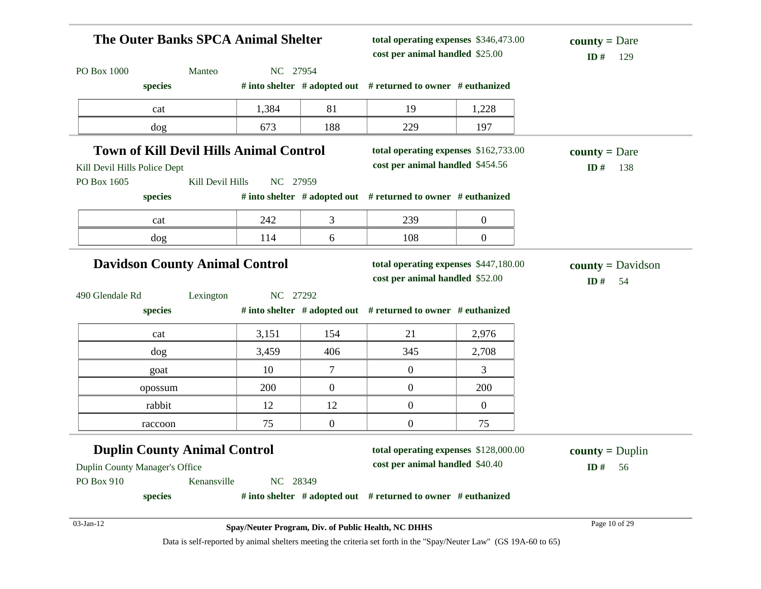| The Outer Banks SPCA Animal Shelter                                   |          |                  | total operating expenses \$346,473.00<br>cost per animal handled \$25.00 |                | $county = Dare$<br>ID#<br>129           |
|-----------------------------------------------------------------------|----------|------------------|--------------------------------------------------------------------------|----------------|-----------------------------------------|
| PO Box 1000<br>Manteo                                                 | NC 27954 |                  |                                                                          |                |                                         |
| species                                                               |          |                  | # into shelter # adopted out # returned to owner # euthanized            |                |                                         |
| cat                                                                   | 1,384    | 81               | 19                                                                       | 1,228          |                                         |
| dog                                                                   | 673      | 188              | 229                                                                      | 197            |                                         |
| <b>Town of Kill Devil Hills Animal Control</b>                        |          |                  | total operating expenses \$162,733.00                                    |                | <b>county</b> = Dare                    |
| Kill Devil Hills Police Dept                                          |          |                  | cost per animal handled \$454.56                                         |                | ID $#$<br>138                           |
| PO Box 1605<br>Kill Devil Hills                                       | NC 27959 |                  |                                                                          |                |                                         |
| species                                                               |          |                  | # into shelter # adopted out # returned to owner # euthanized            |                |                                         |
| cat                                                                   | 242      | 3                | 239                                                                      | $\overline{0}$ |                                         |
| dog                                                                   | 114      | 6                | 108                                                                      | $\overline{0}$ |                                         |
| <b>Davidson County Animal Control</b>                                 |          |                  | total operating expenses \$447,180.00<br>cost per animal handled \$52.00 |                | $county = \text{Davidson}$<br>ID#<br>54 |
| 490 Glendale Rd<br>Lexington<br>species                               | NC 27292 |                  | # into shelter # adopted out # returned to owner # euthanized            |                |                                         |
| cat                                                                   | 3,151    | 154              | 21                                                                       | 2,976          |                                         |
| dog                                                                   | 3,459    | 406              | 345                                                                      | 2,708          |                                         |
| goat                                                                  | 10       | 7                | $\boldsymbol{0}$                                                         | 3              |                                         |
|                                                                       |          |                  |                                                                          |                |                                         |
| opossum                                                               | 200      | $\overline{0}$   | $\mathbf{0}$                                                             | 200            |                                         |
| rabbit                                                                | 12       | 12               | $\boldsymbol{0}$                                                         | $\overline{0}$ |                                         |
| raccoon                                                               | 75       | $\boldsymbol{0}$ | $\boldsymbol{0}$                                                         | 75             |                                         |
| <b>Duplin County Animal Control</b><br>Duplin County Manager's Office |          |                  | total operating expenses \$128,000.00<br>cost per animal handled \$40.40 |                | $county = Duplin$<br>ID#<br>56          |
| Kenansville                                                           | NC 28349 |                  |                                                                          |                |                                         |
| PO Box 910<br>species                                                 |          |                  | # into shelter $#$ adopted out $#$ returned to owner $#$ euthanized      |                |                                         |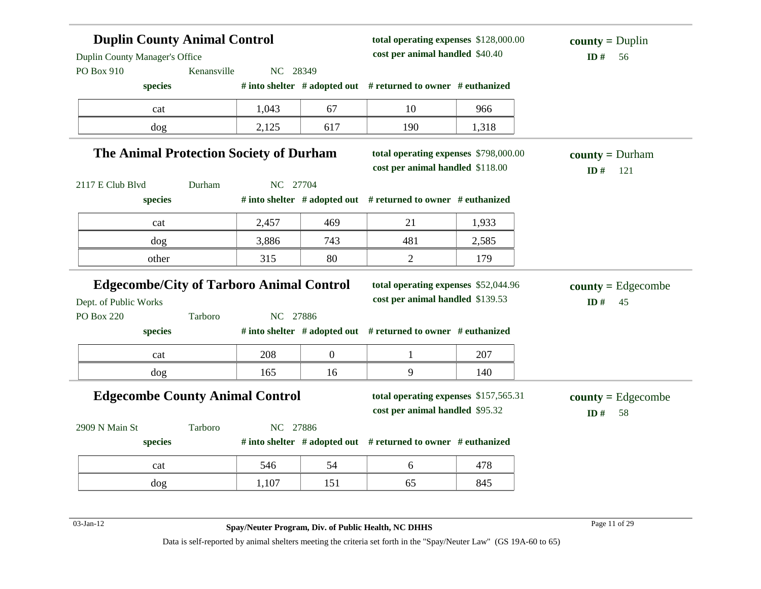| <b>Duplin County Animal Control</b><br>Duplin County Manager's Office<br>NC 28349<br>PO Box 910<br>Kenansville |         |          |                  | total operating expenses \$128,000.00<br>cost per animal handled \$40.40  |       | $county = Duplin$<br>ID#<br>56         |
|----------------------------------------------------------------------------------------------------------------|---------|----------|------------------|---------------------------------------------------------------------------|-------|----------------------------------------|
| species                                                                                                        |         |          |                  | # into shelter # adopted out # returned to owner # euthanized             |       |                                        |
| cat                                                                                                            |         | 1,043    | 67               | 10                                                                        | 966   |                                        |
| dog                                                                                                            |         | 2,125    | 617              | 190                                                                       | 1,318 |                                        |
| The Animal Protection Society of Durham                                                                        |         |          |                  | total operating expenses \$798,000.00<br>cost per animal handled \$118.00 |       | <b>county</b> = $Durham$<br>ID#<br>121 |
| 2117 E Club Blvd                                                                                               | Durham  | NC 27704 |                  |                                                                           |       |                                        |
| species                                                                                                        |         |          |                  | # into shelter # adopted out # returned to owner # euthanized             |       |                                        |
| cat                                                                                                            |         | 2,457    | 469              | 21                                                                        | 1,933 |                                        |
| dog                                                                                                            |         | 3,886    | 743              | 481                                                                       | 2,585 |                                        |
| other                                                                                                          |         | 315      | 80               | $\mathbf{2}$                                                              | 179   |                                        |
| <b>Edgecombe/City of Tarboro Animal Control</b>                                                                |         |          |                  | total operating expenses \$52,044.96                                      |       | $\text{county} = \text{Edgecombe}$     |
| Dept. of Public Works                                                                                          |         |          |                  | cost per animal handled \$139.53                                          |       | ID#<br>45                              |
| <b>PO Box 220</b>                                                                                              | Tarboro | NC 27886 |                  |                                                                           |       |                                        |
| species                                                                                                        |         |          |                  | # into shelter # adopted out # returned to owner # euthanized             |       |                                        |
| cat                                                                                                            |         | 208      | $\boldsymbol{0}$ | $\mathbf{1}$                                                              | 207   |                                        |
| dog                                                                                                            |         | 165      | 16               | 9                                                                         | 140   |                                        |
| <b>Edgecombe County Animal Control</b>                                                                         |         |          |                  | total operating expenses \$157,565.31<br>cost per animal handled \$95.32  |       | $county = Edgecombe$<br>ID#<br>58      |
| 2909 N Main St                                                                                                 | Tarboro | NC 27886 |                  |                                                                           |       |                                        |
| species                                                                                                        |         |          |                  | # into shelter # adopted out # returned to owner # euthanized             |       |                                        |
| cat                                                                                                            |         | 546      | 54               | 6                                                                         | 478   |                                        |
| dog                                                                                                            |         | 1,107    | 151              | 65                                                                        | 845   |                                        |

**O3-Jan-12 Spay/Neuter Program, Div. of Public Health, NC DHHS** Page 11 of 29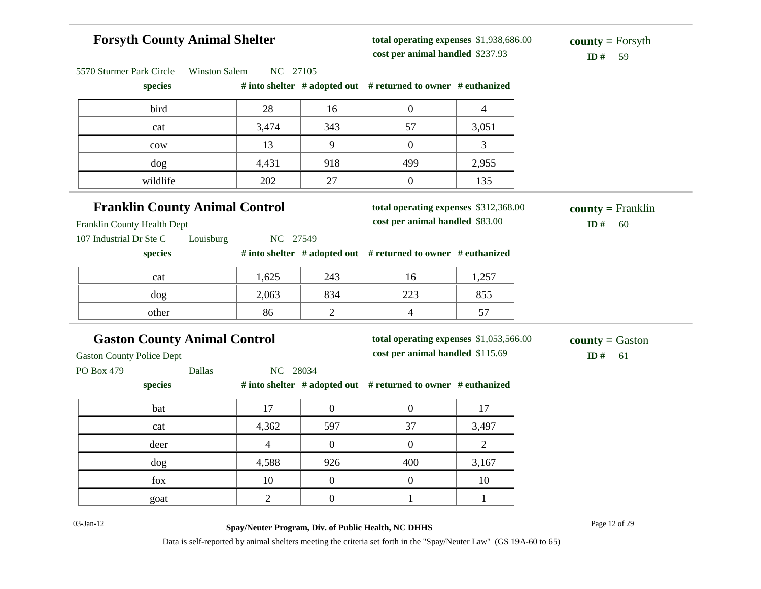## **Forsyth County Animal Shelter**

5570 Sturmer Park Circle Winston Salem NC 27105

**total operating expenses** \$1,938,686.00 **cost per animal handled** \$237.93 **ID #** 59

**county =** Forsyth

| species                               |                |                | # into shelter $#$ adopted out $#$ returned to owner $#$ euthanized |                |                           |
|---------------------------------------|----------------|----------------|---------------------------------------------------------------------|----------------|---------------------------|
| bird                                  | 28             | 16             | $\mathbf{0}$                                                        | $\overline{4}$ |                           |
| cat                                   | 3,474          | 343            | 57                                                                  | 3,051          |                           |
| $_{\text{cow}}$                       | 13             | 9              | $\overline{0}$                                                      | 3              |                           |
| dog                                   | 4,431          | 918            | 499                                                                 | 2,955          |                           |
| wildlife                              | 202            | 27             | $\boldsymbol{0}$                                                    | 135            |                           |
| <b>Franklin County Animal Control</b> |                |                | total operating expenses \$312,368.00                               |                | $county = Franklin$       |
| Franklin County Health Dept           |                |                | cost per animal handled \$83.00                                     |                | ID $#$<br>60              |
| 107 Industrial Dr Ste C<br>Louisburg  | NC 27549       |                |                                                                     |                |                           |
| species                               |                |                | # into shelter # adopted out # returned to owner # euthanized       |                |                           |
| cat                                   | 1,625          | 243            | 16                                                                  | 1,257          |                           |
| dog                                   | 2,063          | 834            | 223                                                                 | 855            |                           |
| other                                 | 86             | $\overline{2}$ | $\overline{4}$                                                      | 57             |                           |
| <b>Gaston County Animal Control</b>   |                |                | total operating expenses \$1,053,566.00                             |                | <b>county</b> = $G$ aston |
| <b>Gaston County Police Dept</b>      |                |                | cost per animal handled \$115.69                                    |                | ID#<br>61                 |
| PO Box 479<br><b>Dallas</b>           | NC 28034       |                |                                                                     |                |                           |
| species                               |                |                | # into shelter # adopted out # returned to owner # euthanized       |                |                           |
| bat                                   | 17             | $\overline{0}$ | $\boldsymbol{0}$                                                    | 17             |                           |
| cat                                   | 4,362          | 597            | 37                                                                  | 3,497          |                           |
| deer                                  | $\overline{4}$ | $\overline{0}$ | $\mathbf{0}$                                                        | $\overline{2}$ |                           |
| dog                                   | 4,588          | 926            | 400                                                                 | 3,167          |                           |
| fox                                   | 10             | $\overline{0}$ | $\boldsymbol{0}$                                                    | 10             |                           |
| goat                                  | $\overline{2}$ | $\overline{0}$ | $\mathbf{1}$                                                        | 1              |                           |
|                                       |                |                |                                                                     |                |                           |

03-Jan-12 Page 12 of 29 **Spay/Neuter Program, Div. of Public Health, NC DHHS**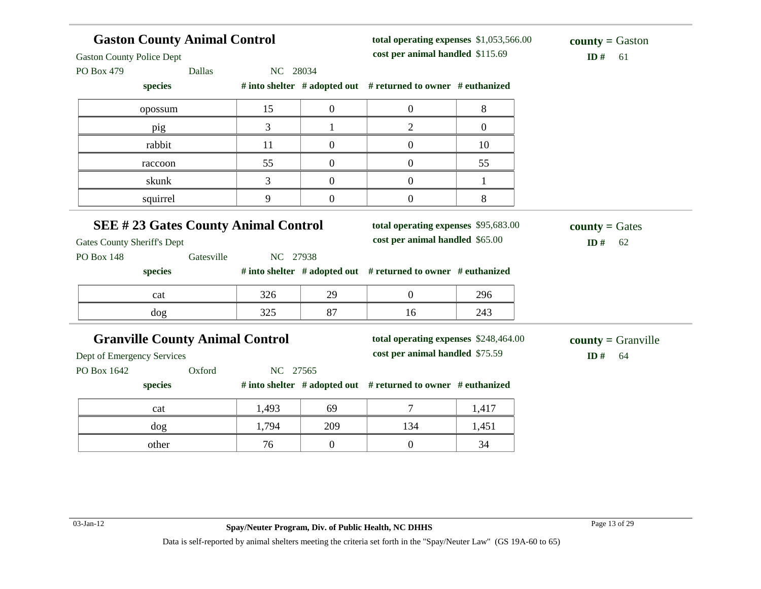| <b>Gaston County Animal Control</b><br><b>Gaston County Police Dept</b><br>PO Box 479<br>Dallas | NC 28034 |                  | total operating expenses \$1,053,566.00<br>cost per animal handled \$115.69 |                | <b>county</b> = Gaston<br>ID#<br>61 |
|-------------------------------------------------------------------------------------------------|----------|------------------|-----------------------------------------------------------------------------|----------------|-------------------------------------|
| species                                                                                         |          |                  | # into shelter # adopted out # returned to owner # euthanized               |                |                                     |
| opossum                                                                                         | 15       | $\overline{0}$   | $\overline{0}$                                                              | 8              |                                     |
| pig                                                                                             | 3        | 1                | $\overline{2}$                                                              | $\overline{0}$ |                                     |
| rabbit                                                                                          | 11       | $\boldsymbol{0}$ | $\boldsymbol{0}$                                                            | 10             |                                     |
| raccoon                                                                                         | 55       | $\mathbf{0}$     | $\overline{0}$                                                              | 55             |                                     |
| skunk                                                                                           | 3        | $\overline{0}$   | $\overline{0}$                                                              | $\mathbf{1}$   |                                     |
| squirrel                                                                                        | 9        | $\overline{0}$   | $\overline{0}$                                                              | 8              |                                     |
| <b>SEE #23 Gates County Animal Control</b><br><b>Gates County Sheriff's Dept</b>                |          |                  | total operating expenses \$95,683.00<br>cost per animal handled \$65.00     |                | $county = Gates$<br>ID#<br>62       |
| <b>PO Box 148</b><br>Gatesville                                                                 | NC 27938 |                  |                                                                             |                |                                     |
| species                                                                                         |          |                  | # into shelter # adopted out # returned to owner # euthanized               |                |                                     |
| cat                                                                                             | 326      | 29               | $\overline{0}$                                                              | 296            |                                     |
| dog                                                                                             | 325      | 87               | 16                                                                          | 243            |                                     |
| <b>Granville County Animal Control</b>                                                          |          |                  | total operating expenses \$248,464.00<br>cost per animal handled \$75.59    |                | $county = Granville$                |
| Dept of Emergency Services<br>PO Box 1642<br>Oxford                                             | NC 27565 |                  |                                                                             |                | ID#<br>64                           |
| species                                                                                         |          |                  | # into shelter # adopted out # returned to owner # euthanized               |                |                                     |
| cat                                                                                             | 1,493    | 69               | 7                                                                           | 1,417          |                                     |
| dog                                                                                             | 1,794    | 209              | 134                                                                         | 1,451          |                                     |
| other                                                                                           | 76       | $\mathbf{0}$     | $\overline{0}$                                                              | 34             |                                     |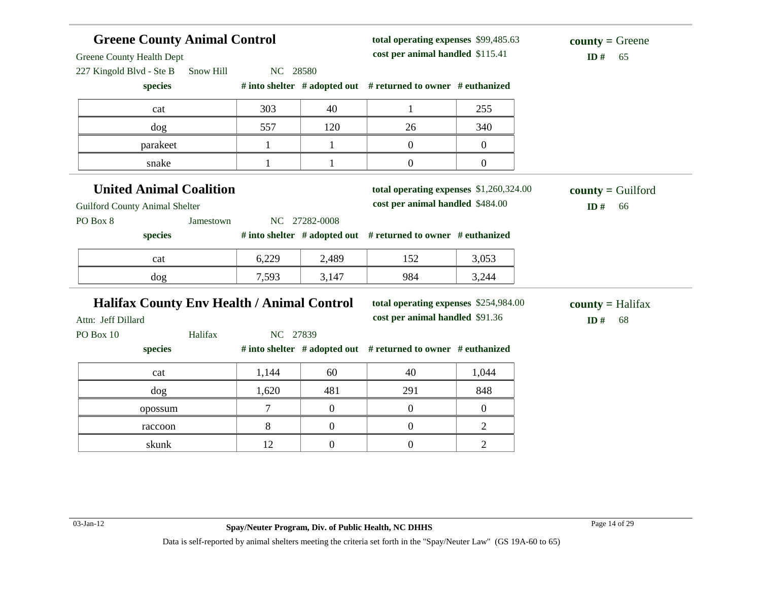| <b>Greene County Animal Control</b><br>Greene County Health Dept |              |                  | total operating expenses \$99,485.63<br>cost per animal handled \$115.41 | $county = Green$<br>ID#<br>65 |                           |
|------------------------------------------------------------------|--------------|------------------|--------------------------------------------------------------------------|-------------------------------|---------------------------|
| 227 Kingold Blvd - Ste B<br>Snow Hill<br>species                 | NC 28580     |                  | # into shelter # adopted out # returned to owner # euthanized            |                               |                           |
|                                                                  |              |                  |                                                                          |                               |                           |
| cat                                                              | 303          | 40               | $\mathbf{1}$                                                             | 255                           |                           |
| dog                                                              | 557          | 120              | 26                                                                       | 340                           |                           |
| parakeet                                                         | $\mathbf{1}$ | $\mathbf{1}$     | $\overline{0}$                                                           | $\overline{0}$                |                           |
| snake                                                            | $\mathbf{1}$ | $\mathbf{1}$     | $\boldsymbol{0}$                                                         | $\boldsymbol{0}$              |                           |
| <b>United Animal Coalition</b>                                   |              |                  | total operating expenses \$1,260,324.00                                  |                               | $county =$ Guilford       |
| <b>Guilford County Animal Shelter</b>                            |              |                  | cost per animal handled \$484.00                                         |                               | ID#<br>66                 |
| PO Box 8<br>Jamestown                                            |              | NC 27282-0008    |                                                                          |                               |                           |
| species                                                          |              |                  | # into shelter # adopted out # returned to owner # euthanized            |                               |                           |
| cat                                                              | 6,229        | 2,489            | 152                                                                      | 3,053                         |                           |
| dog                                                              | 7,593        | 3,147            | 984                                                                      | 3,244                         |                           |
| <b>Halifax County Env Health / Animal Control</b>                |              |                  | total operating expenses \$254,984.00                                    |                               | $county = \text{Halifax}$ |
| Attn: Jeff Dillard                                               |              |                  | cost per animal handled \$91.36                                          |                               | ID $#$<br>68              |
| Halifax<br>PO Box 10                                             | NC 27839     |                  |                                                                          |                               |                           |
| species                                                          |              |                  | # into shelter # adopted out # returned to owner # euthanized            |                               |                           |
| cat                                                              | 1,144        | 60               | 40                                                                       | 1,044                         |                           |
| dog                                                              | 1,620        | 481              | 291                                                                      | 848                           |                           |
|                                                                  |              |                  |                                                                          |                               |                           |
| opossum                                                          | 7            | $\mathbf{0}$     | $\mathbf{0}$                                                             | $\overline{0}$                |                           |
| raccoon                                                          | 8            | $\boldsymbol{0}$ | $\overline{0}$                                                           | $\overline{c}$                |                           |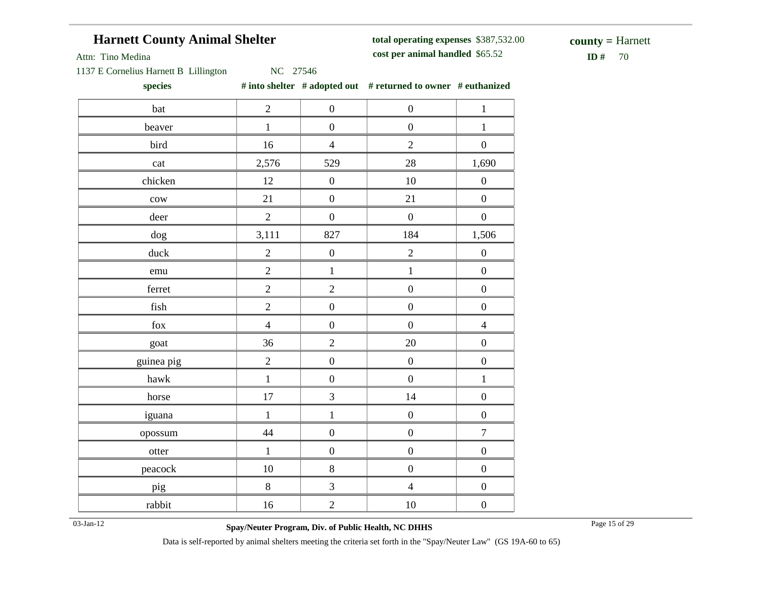## **Harnett County Animal Shelter**

**total operating expenses** \$387,532.00 **cost per animal handled**

 $ID# 70$ **county =** Harnett

Attn: Tino Medina

1137 E Cornelius Harnett B Lillington NC 27546

**species # into shelter # adopted out # returned to owner # euthanized**

| bat             | $\overline{2}$ | $\boldsymbol{0}$ | $\boldsymbol{0}$ | $\mathbf{1}$     |
|-----------------|----------------|------------------|------------------|------------------|
| beaver          | $\mathbf{1}$   | $\boldsymbol{0}$ | $\boldsymbol{0}$ | $\mathbf{1}$     |
| bird            | 16             | $\overline{4}$   | $\overline{2}$   | $\boldsymbol{0}$ |
| cat             | 2,576          | 529              | 28               | 1,690            |
| chicken         | 12             | $\boldsymbol{0}$ | 10               | $\boldsymbol{0}$ |
| $_{\text{cow}}$ | 21             | $\boldsymbol{0}$ | 21               | $\boldsymbol{0}$ |
| deer            | $\overline{2}$ | $\boldsymbol{0}$ | $\boldsymbol{0}$ | $\boldsymbol{0}$ |
| dog             | 3,111          | 827              | 184              | 1,506            |
| duck            | $\overline{2}$ | $\boldsymbol{0}$ | $\overline{2}$   | $\boldsymbol{0}$ |
| emu             | $\overline{2}$ | $\mathbf{1}$     | $\mathbf{1}$     | $\boldsymbol{0}$ |
| ferret          | $\overline{2}$ | $\overline{2}$   | $\boldsymbol{0}$ | $\boldsymbol{0}$ |
| fish            | $\overline{2}$ | $\boldsymbol{0}$ | $\boldsymbol{0}$ | $\boldsymbol{0}$ |
| fox             | $\overline{4}$ | $\boldsymbol{0}$ | $\boldsymbol{0}$ | $\overline{4}$   |
| goat            | 36             | $\overline{2}$   | 20               | $\boldsymbol{0}$ |
| guinea pig      | $\overline{2}$ | $\boldsymbol{0}$ | $\boldsymbol{0}$ | $\boldsymbol{0}$ |
| hawk            | $\,1$          | $\boldsymbol{0}$ | $\boldsymbol{0}$ | $\,1$            |
| horse           | 17             | 3                | 14               | $\boldsymbol{0}$ |
| iguana          | $\mathbf{1}$   | $\mathbf{1}$     | $\boldsymbol{0}$ | $\boldsymbol{0}$ |
| opossum         | 44             | $\boldsymbol{0}$ | $\boldsymbol{0}$ | $\boldsymbol{7}$ |
| otter           | $\,1\,$        | $\boldsymbol{0}$ | $\boldsymbol{0}$ | $\boldsymbol{0}$ |
| peacock         | 10             | 8                | $\boldsymbol{0}$ | $\boldsymbol{0}$ |
| pig             | $8\,$          | $\mathfrak{Z}$   | $\overline{4}$   | $\boldsymbol{0}$ |
| rabbit          | 16             | $\overline{2}$   | 10               | $\boldsymbol{0}$ |

03-Jan-12 Page 15 of 29 **Spay/Neuter Program, Div. of Public Health, NC DHHS**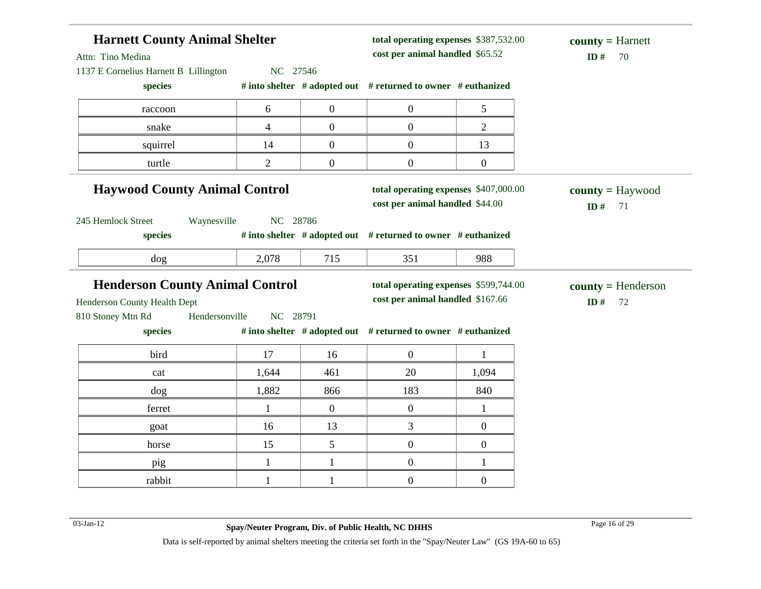| Attn: Tino Medina                                        | <b>Harnett County Animal Shelter</b> |                |                  | total operating expenses \$387,532.00<br>cost per animal handled \$65.52 |                  | $county = Harnett$<br>ID#<br>70               |
|----------------------------------------------------------|--------------------------------------|----------------|------------------|--------------------------------------------------------------------------|------------------|-----------------------------------------------|
| 1137 E Cornelius Harnett B Lillington                    |                                      | NC 27546       |                  |                                                                          |                  |                                               |
| species                                                  |                                      |                |                  | # into shelter # adopted out # returned to owner # euthanized            |                  |                                               |
| raccoon                                                  |                                      | 6              | $\boldsymbol{0}$ | $\mathbf{0}$                                                             | 5                |                                               |
| snake                                                    |                                      | $\overline{4}$ | $\overline{0}$   | $\boldsymbol{0}$                                                         | $\overline{2}$   |                                               |
| squirrel                                                 |                                      | 14             | $\overline{0}$   | $\overline{0}$                                                           | 13               |                                               |
| turtle                                                   |                                      | $\overline{2}$ | $\boldsymbol{0}$ | $\boldsymbol{0}$                                                         | $\boldsymbol{0}$ |                                               |
| <b>Haywood County Animal Control</b>                     |                                      |                |                  | total operating expenses \$407,000.00<br>cost per animal handled \$44.00 |                  | $\text{county} = \text{Haywood}$<br>ID#<br>71 |
| 245 Hemlock Street                                       | Waynesville                          | NC 28786       |                  |                                                                          |                  |                                               |
| species                                                  |                                      |                |                  | # into shelter # adopted out # returned to owner # euthanized            |                  |                                               |
|                                                          |                                      |                |                  |                                                                          |                  |                                               |
| $\log$                                                   |                                      | 2,078          | 715              | 351                                                                      | 988              |                                               |
| <b>Henderson County Animal Control</b>                   |                                      |                |                  | total operating expenses \$599,744.00                                    |                  |                                               |
|                                                          |                                      |                |                  | cost per animal handled \$167.66                                         |                  | $county = Henderson$<br>ID#<br>72             |
| species                                                  | Hendersonville                       | NC 28791       |                  | # into shelter # adopted out # returned to owner # euthanized            |                  |                                               |
| bird                                                     |                                      | 17             | 16               | $\overline{0}$                                                           | 1                |                                               |
| cat                                                      |                                      | 1,644          | 461              | 20                                                                       | 1,094            |                                               |
| dog                                                      |                                      | 1,882          | 866              | 183                                                                      | 840              |                                               |
| ferret                                                   |                                      | $\mathbf{1}$   | $\overline{0}$   | $\mathbf{0}$                                                             | $\mathbf{1}$     |                                               |
| goat                                                     |                                      | 16             | 13               | 3                                                                        | $\overline{0}$   |                                               |
| horse                                                    |                                      | 15             | 5                | $\overline{0}$                                                           | $\boldsymbol{0}$ |                                               |
| Henderson County Health Dept<br>810 Stoney Mtn Rd<br>pig |                                      | $\mathbf{1}$   | $\mathbf{1}$     | $\overline{0}$                                                           | 1                |                                               |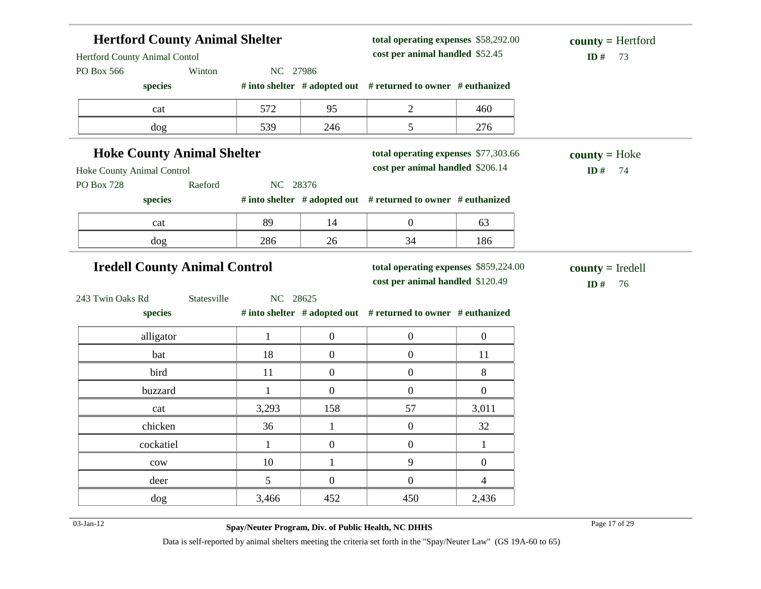| <b>Hertford County Animal Shelter</b><br>Hertford County Animal Contol<br>PO Box 566 | Winton      | NC 27986     |                  | total operating expenses \$58,292.00<br>cost per animal handled \$52.45 |                  | $county = Hertford$<br>ID#<br>73 |
|--------------------------------------------------------------------------------------|-------------|--------------|------------------|-------------------------------------------------------------------------|------------------|----------------------------------|
| species                                                                              |             |              |                  | # into shelter # adopted out # returned to owner # euthanized           |                  |                                  |
| cat                                                                                  |             | 572          | 95               | $\overline{2}$                                                          | 460              |                                  |
| dog                                                                                  |             | 539          | 246              | 5                                                                       | 276              |                                  |
| <b>Hoke County Animal Shelter</b>                                                    |             |              |                  | total operating expenses \$77,303.66                                    |                  | $county = Hoke$                  |
| Hoke County Animal Control                                                           |             |              |                  | cost per animal handled \$206.14                                        |                  | ID#<br>74                        |
| <b>PO Box 728</b>                                                                    | Raeford     | NC 28376     |                  |                                                                         |                  |                                  |
| species                                                                              |             |              |                  | # into shelter # adopted out # returned to owner # euthanized           |                  |                                  |
| cat                                                                                  |             | 89           | 14               | $\boldsymbol{0}$                                                        | 63               |                                  |
| dog                                                                                  |             | 286          | 26               | 34                                                                      | 186              |                                  |
| <b>Iredell County Animal Control</b>                                                 |             |              |                  | total operating expenses \$859,224.00                                   |                  | $county = Iredell$               |
|                                                                                      |             |              |                  | cost per animal handled \$120.49                                        |                  | ID $#$<br>76                     |
| 243 Twin Oaks Rd                                                                     | Statesville | NC 28625     |                  |                                                                         |                  |                                  |
| species                                                                              |             |              |                  | # into shelter # adopted out # returned to owner # euthanized           |                  |                                  |
| alligator                                                                            |             | $\mathbf{1}$ | $\boldsymbol{0}$ | $\boldsymbol{0}$                                                        | $\boldsymbol{0}$ |                                  |
| bat                                                                                  |             | 18           | $\overline{0}$   | $\overline{0}$                                                          | 11               |                                  |
| bird                                                                                 |             | 11           | $\boldsymbol{0}$ | $\overline{0}$                                                          | 8                |                                  |
|                                                                                      |             |              |                  |                                                                         |                  |                                  |
| buzzard                                                                              |             | $\mathbf{1}$ | $\overline{0}$   | $\overline{0}$                                                          | $\boldsymbol{0}$ |                                  |
| cat                                                                                  |             | 3,293        | 158              | 57                                                                      | 3,011            |                                  |
| chicken                                                                              |             | 36           | $\mathbf{1}$     | $\boldsymbol{0}$                                                        | 32               |                                  |
| cockatiel                                                                            |             | $\mathbf{1}$ | $\boldsymbol{0}$ | $\boldsymbol{0}$                                                        | $\mathbf{1}$     |                                  |
| cow                                                                                  |             | 10           | $\mathbf{1}$     | 9                                                                       | $\boldsymbol{0}$ |                                  |
| deer                                                                                 |             | 5            | $\mathbf{0}$     | $\mathbf{0}$                                                            | $\overline{4}$   |                                  |

03-Jan-12 Page 17 of 29 **Spay/Neuter Program, Div. of Public Health, NC DHHS**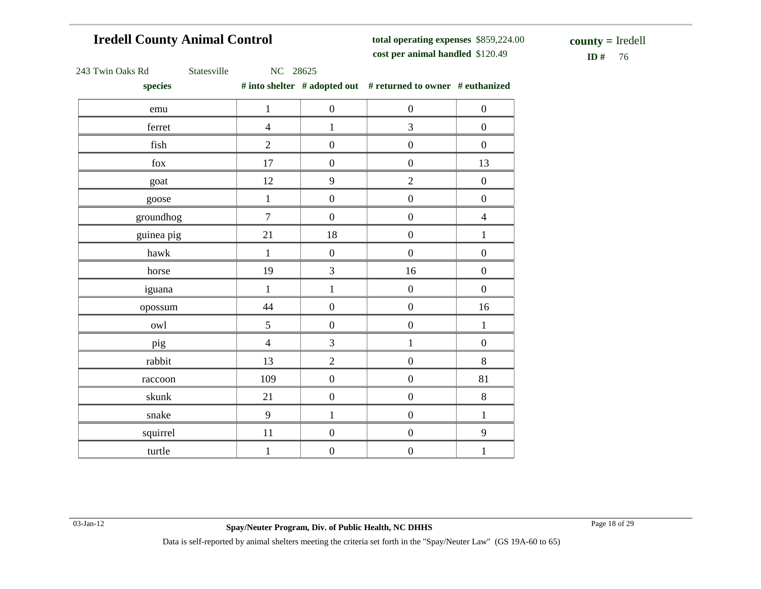## **Iredell County Animal Control**

**total operating expenses** \$859,224.00 **cost per animal handled**

 $ID# 76$ **county =** Iredell

| 243 Twin Oaks Rd |
|------------------|
|                  |

Statesville NC 28625

**species # into shelter # adopted out # returned to owner # euthanized**

| ж.                         |                |                  |                  |                  |
|----------------------------|----------------|------------------|------------------|------------------|
| emu                        | $\,1\,$        | $\boldsymbol{0}$ | $\boldsymbol{0}$ | $\boldsymbol{0}$ |
| ferret                     | $\overline{4}$ | $\mathbf{1}$     | 3                | $\boldsymbol{0}$ |
| $\operatorname{fish}$      | $\overline{2}$ | $\boldsymbol{0}$ | $\boldsymbol{0}$ | $\boldsymbol{0}$ |
| ${\rm fox}$                | $17\,$         | $\boldsymbol{0}$ | $\boldsymbol{0}$ | 13               |
| goat                       | 12             | 9                | $\overline{2}$   | $\boldsymbol{0}$ |
| goose                      | $\,1\,$        | $\boldsymbol{0}$ | $\boldsymbol{0}$ | $\boldsymbol{0}$ |
| groundhog                  | $\overline{7}$ | $\boldsymbol{0}$ | $\boldsymbol{0}$ | $\overline{4}$   |
| guinea pig                 | 21             | $18\,$           | $\boldsymbol{0}$ | $\mathbf{1}$     |
| $\ensuremath{\text{hawk}}$ | $\,1$          | $\boldsymbol{0}$ | $\boldsymbol{0}$ | $\boldsymbol{0}$ |
| horse                      | 19             | 3                | 16               | $\boldsymbol{0}$ |
| iguana                     | $\,1\,$        | $\,1$            | $\boldsymbol{0}$ | $\boldsymbol{0}$ |
| opossum                    | 44             | $\boldsymbol{0}$ | $\boldsymbol{0}$ | 16               |
| owl                        | 5              | $\boldsymbol{0}$ | $\boldsymbol{0}$ | $\,1\,$          |
| pig                        | $\overline{4}$ | 3                | $\mathbf{1}$     | $\boldsymbol{0}$ |
| rabbit                     | 13             | $\overline{2}$   | $\boldsymbol{0}$ | $8\,$            |
| raccoon                    | 109            | $\boldsymbol{0}$ | $\boldsymbol{0}$ | 81               |
| skunk                      | 21             | $\boldsymbol{0}$ | $\boldsymbol{0}$ | $\,8\,$          |
| snake                      | 9              | $\mathbf{1}$     | $\boldsymbol{0}$ | $\mathbf{1}$     |
| squirrel                   | $11\,$         | $\boldsymbol{0}$ | $\boldsymbol{0}$ | $\mathbf{9}$     |
| turtle                     | $\mathbf 1$    | $\boldsymbol{0}$ | $\boldsymbol{0}$ | $\,1$            |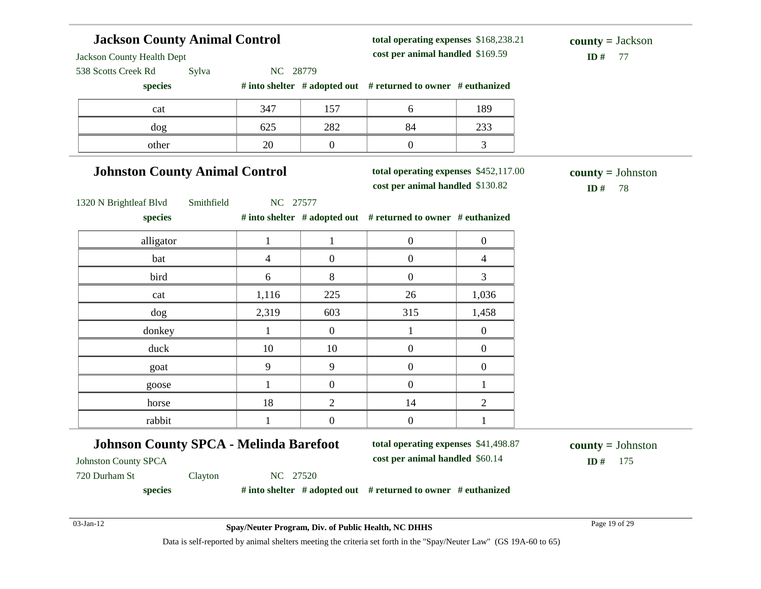#### **Jackson County Animal Control** Jackson County Health Dept 538 Scotts Creek Rd Sylva NC 28779 **species # into shelter # adopted out # returned to owner # euthanized total operating expenses** \$168,238.21 **cost per animal handled** \$169.59 **ID #** 77 **county =** Jackson cat 189 dog 625 282 84 233 other 20 0 0 3 **Johnston County Animal Control** 1320 N Brightleaf Blvd Smithfield NC 27577 **species # into shelter # adopted out # returned to owner # euthanized total operating expenses** \$452,117.00 **cost per animal handled** \$130.82 **ID #** 78 **county =** Johnston alligator and  $\begin{array}{ccccccc} & 1 & 1 & 1 & 0 & 0 \\ & & 1 & 1 & 0 & 0 \\ & & & & & & \end{array}$ bat 1 4 0 0 1 4 bird 6 8 0 3 cat 1,116 225 26 1,036 dog 2,319 603 315 1,458 donkey 1 1 0 1 0 duck 10 10 10 0 0 goat 19 9 9 0 0 goose  $1 \quad 0 \quad 0 \quad 1$ horse 18 2 14 2 rabbit 1 0 0 1 **Johnson County SPCA - Melinda Barefoot** Johnston County SPCA 720 Durham St Clayton NC 27520 **species # into shelter # adopted out # returned to owner # euthanized total operating expenses** \$41,498.87 **cost per animal handled** \$60.14 **ID #** 175 **county =** Johnston

03-Jan-12 Page 19 of 29 **Spay/Neuter Program, Div. of Public Health, NC DHHS**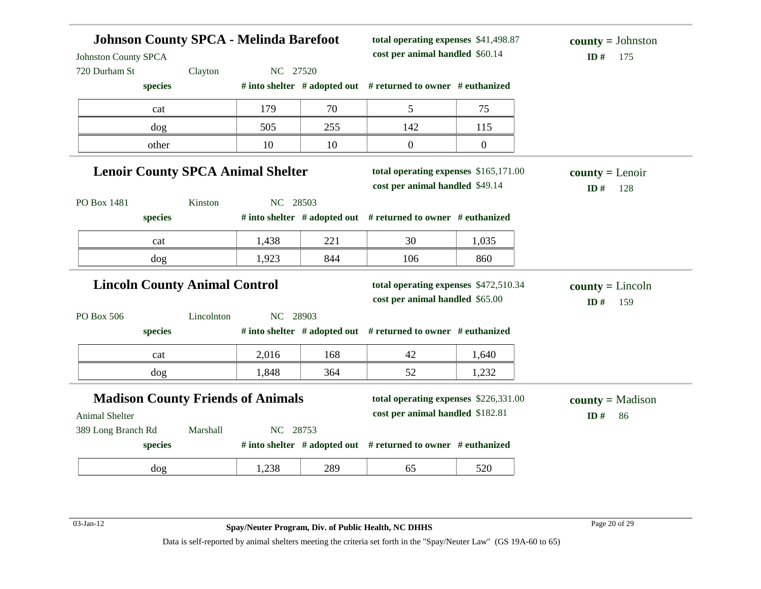| <b>Johnson County SPCA - Melinda Barefoot</b><br><b>Johnston County SPCA</b><br>720 Durham St | Clayton    | NC 27520 |     | total operating expenses \$41,498.87<br>cost per animal handled \$60.14   |                | $county = Johnston$<br>ID#<br>175 |
|-----------------------------------------------------------------------------------------------|------------|----------|-----|---------------------------------------------------------------------------|----------------|-----------------------------------|
| species                                                                                       |            |          |     | # into shelter # adopted out # returned to owner # euthanized             |                |                                   |
| cat                                                                                           |            | 179      | 70  | 5                                                                         | 75             |                                   |
| dog                                                                                           |            | 505      | 255 | 142                                                                       | 115            |                                   |
| other                                                                                         |            | 10       | 10  | $\mathbf{0}$                                                              | $\overline{0}$ |                                   |
| <b>Lenoir County SPCA Animal Shelter</b>                                                      |            |          |     | total operating expenses \$165,171.00<br>cost per animal handled \$49.14  |                | $county = Lenoir$<br>ID#<br>128   |
| PO Box 1481<br>species                                                                        | Kinston    | NC 28503 |     | # into shelter # adopted out # returned to owner # euthanized             |                |                                   |
| cat                                                                                           |            | 1,438    | 221 | 30                                                                        | 1,035          |                                   |
| dog                                                                                           |            | 1,923    | 844 | 106                                                                       | 860            |                                   |
| <b>Lincoln County Animal Control</b>                                                          |            |          |     | total operating expenses \$472,510.34<br>cost per animal handled \$65.00  |                | $county = Lincoln$<br>ID#<br>159  |
| PO Box 506<br>species                                                                         | Lincolnton | NC 28903 |     | # into shelter # adopted out # returned to owner # euthanized             |                |                                   |
| cat                                                                                           |            | 2,016    | 168 | 42                                                                        | 1,640          |                                   |
| dog                                                                                           |            | 1,848    | 364 | 52                                                                        | 1,232          |                                   |
| <b>Madison County Friends of Animals</b><br>Animal Shelter                                    |            |          |     | total operating expenses \$226,331.00<br>cost per animal handled \$182.81 |                | $county = Madison$<br>ID#<br>86   |
| 389 Long Branch Rd<br>species                                                                 | Marshall   | NC 28753 |     | # into shelter # adopted out # returned to owner # euthanized             |                |                                   |
| dog                                                                                           |            | 1,238    | 289 | 65                                                                        | 520            |                                   |

03-Jan-12 Page 20 of 29 **Spay/Neuter Program, Div. of Public Health, NC DHHS**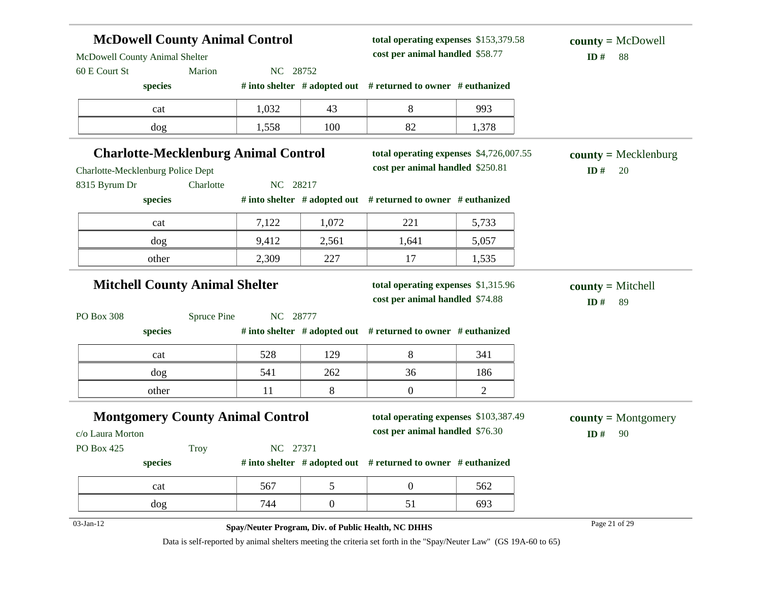| <b>McDowell County Animal Control</b>       |                    |          |                  | total operating expenses \$153,379.58<br>cost per animal handled \$58.77 |                | $county = McDowell$    |
|---------------------------------------------|--------------------|----------|------------------|--------------------------------------------------------------------------|----------------|------------------------|
| McDowell County Animal Shelter              |                    |          |                  |                                                                          |                | ID#<br>88              |
| 60 E Court St<br>species                    | Marion             | NC 28752 |                  | # into shelter # adopted out # returned to owner # euthanized            |                |                        |
| cat                                         |                    | 1,032    | 43               | 8                                                                        | 993            |                        |
| dog                                         |                    | 1,558    | 100              | 82                                                                       | 1,378          |                        |
| <b>Charlotte-Mecklenburg Animal Control</b> |                    |          |                  | total operating expenses \$4,726,007.55                                  |                | $county = Mecklenburg$ |
| Charlotte-Mecklenburg Police Dept           |                    |          |                  | cost per animal handled \$250.81                                         |                | ID#<br>20              |
| 8315 Byrum Dr                               | Charlotte          | NC 28217 |                  |                                                                          |                |                        |
| species                                     |                    |          |                  | # into shelter # adopted out # returned to owner # euthanized            |                |                        |
| cat                                         |                    | 7,122    | 1,072            | 221                                                                      | 5,733          |                        |
| dog                                         |                    | 9,412    | 2,561            | 1,641                                                                    | 5,057          |                        |
| other                                       |                    | 2,309    | 227              | 17                                                                       | 1,535          |                        |
| <b>Mitchell County Animal Shelter</b>       |                    |          |                  | total operating expenses \$1,315.96                                      |                | $county = Mitchell$    |
|                                             |                    |          |                  | cost per animal handled \$74.88                                          |                | ID#<br>89              |
| PO Box 308                                  | <b>Spruce Pine</b> | NC 28777 |                  |                                                                          |                |                        |
| species                                     |                    |          |                  | # into shelter # adopted out # returned to owner # euthanized            |                |                        |
| cat                                         |                    | 528      | 129              | 8                                                                        | 341            |                        |
| dog                                         |                    | 541      | 262              | 36                                                                       | 186            |                        |
| other                                       |                    | 11       | 8                | $\overline{0}$                                                           | $\overline{2}$ |                        |
| <b>Montgomery County Animal Control</b>     |                    |          |                  | total operating expenses \$103,387.49                                    |                | $county = Montgomery$  |
| c/o Laura Morton                            |                    |          |                  | cost per animal handled \$76.30                                          |                | ID#<br>90              |
| PO Box 425                                  | <b>Troy</b>        | NC 27371 |                  |                                                                          |                |                        |
| species                                     |                    |          |                  | # into shelter # adopted out # returned to owner # euthanized            |                |                        |
| cat                                         |                    | 567      | 5                | $\boldsymbol{0}$                                                         | 562            |                        |
| dog                                         |                    |          |                  | 51                                                                       | 693            |                        |
|                                             |                    | 744      | $\boldsymbol{0}$ |                                                                          |                |                        |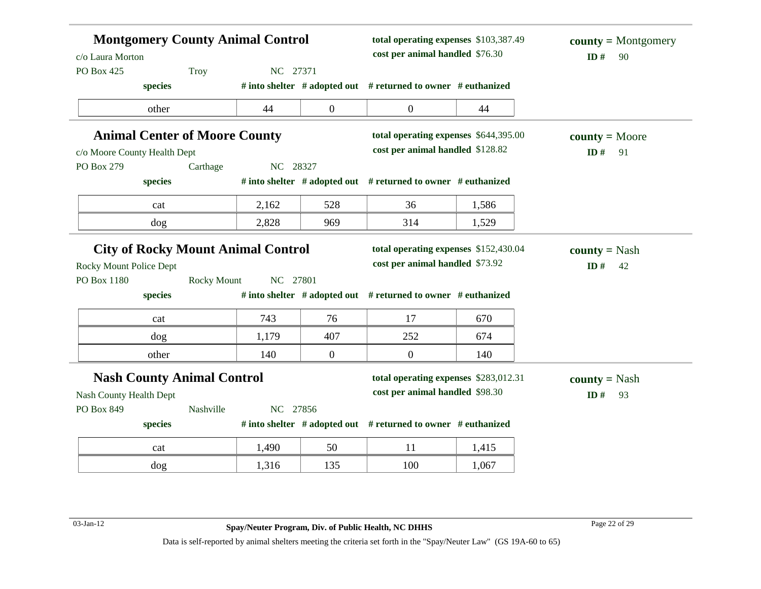| c/o Laura Morton<br>PO Box 425                               | <b>Montgomery County Animal Control</b><br>NC 27371 |          | total operating expenses \$103,387.49<br>cost per animal handled \$76.30 |                                                                          | $county = Montgomery$<br>ID#<br>90 |                                   |
|--------------------------------------------------------------|-----------------------------------------------------|----------|--------------------------------------------------------------------------|--------------------------------------------------------------------------|------------------------------------|-----------------------------------|
| species                                                      | Troy                                                |          |                                                                          | # into shelter # adopted out # returned to owner # euthanized            |                                    |                                   |
| other                                                        |                                                     | 44       | $\boldsymbol{0}$                                                         | $\mathbf{0}$                                                             | 44                                 |                                   |
| <b>Animal Center of Moore County</b>                         |                                                     |          |                                                                          | total operating expenses \$644,395.00                                    |                                    | $county = Moore$                  |
| c/o Moore County Health Dept                                 |                                                     |          |                                                                          | cost per animal handled \$128.82                                         |                                    | ID#<br>91                         |
| PO Box 279                                                   | Carthage                                            | NC 28327 |                                                                          |                                                                          |                                    |                                   |
| species                                                      |                                                     |          |                                                                          | # into shelter # adopted out # returned to owner # euthanized            |                                    |                                   |
| cat                                                          |                                                     | 2,162    | 528                                                                      | 36                                                                       | 1,586                              |                                   |
| dog                                                          |                                                     | 2,828    | 969                                                                      | 314                                                                      | 1,529                              |                                   |
| Rocky Mount Police Dept                                      |                                                     |          |                                                                          | cost per animal handled \$73.92                                          |                                    | ID $#$<br>42                      |
| PO Box 1180<br>species                                       | <b>Rocky Mount</b>                                  | NC 27801 |                                                                          | # into shelter # adopted out # returned to owner # euthanized            |                                    |                                   |
| cat                                                          |                                                     | 743      | 76                                                                       | 17                                                                       | 670                                |                                   |
| dog                                                          |                                                     | 1,179    | 407                                                                      | 252                                                                      | 674                                |                                   |
| other                                                        |                                                     | 140      | $\overline{0}$                                                           | $\overline{0}$                                                           | 140                                |                                   |
| <b>Nash County Animal Control</b><br>Nash County Health Dept |                                                     |          |                                                                          | total operating expenses \$283,012.31<br>cost per animal handled \$98.30 |                                    | <b>county</b> = Nash<br>ID#<br>93 |
| PO Box 849                                                   | Nashville                                           | NC 27856 |                                                                          |                                                                          |                                    |                                   |
| species                                                      |                                                     |          |                                                                          | # into shelter # adopted out # returned to owner # euthanized            |                                    |                                   |
| cat                                                          |                                                     | 1,490    | 50                                                                       | 11                                                                       | 1,415                              |                                   |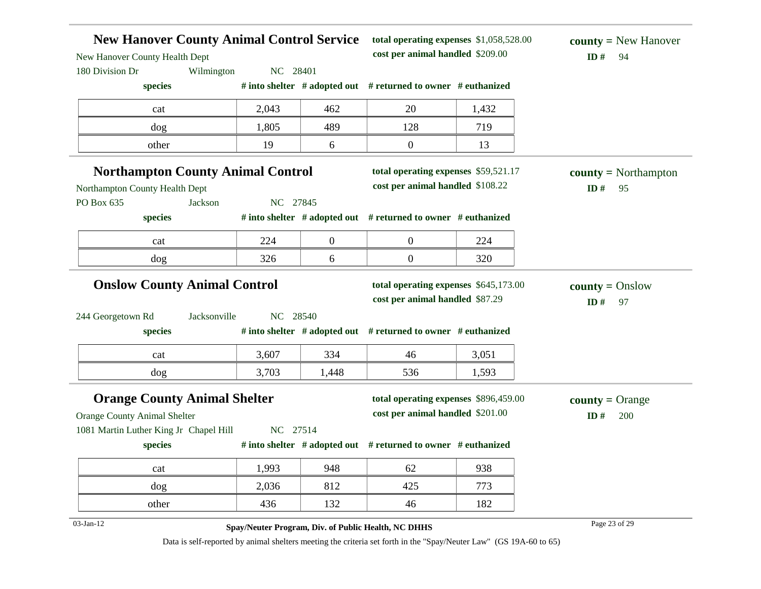| New Hanover County Health Dept                                                | <b>New Hanover County Animal Control Service</b>    | total operating expenses \$1,058,528.00<br>cost per animal handled \$209.00 |                                                                          | <b>county</b> = New Hanover<br>ID#<br>94 |                                            |
|-------------------------------------------------------------------------------|-----------------------------------------------------|-----------------------------------------------------------------------------|--------------------------------------------------------------------------|------------------------------------------|--------------------------------------------|
| 180 Division Dr                                                               | Wilmington<br>NC 28401                              |                                                                             |                                                                          |                                          |                                            |
| species                                                                       |                                                     |                                                                             | # into shelter # adopted out # returned to owner # euthanized            |                                          |                                            |
| cat                                                                           | 2,043                                               | 462                                                                         | 20                                                                       | 1,432                                    |                                            |
| dog                                                                           | 1,805                                               | 489                                                                         | 128                                                                      | 719                                      |                                            |
| other                                                                         | 19                                                  | 6                                                                           | $\mathbf{0}$                                                             | 13                                       |                                            |
| Northampton County Health Dept                                                | <b>Northampton County Animal Control</b>            |                                                                             | total operating expenses \$59,521.17<br>cost per animal handled \$108.22 |                                          | $county = \text{Northampton}$<br>ID#<br>95 |
| PO Box 635<br>species                                                         | NC 27845<br>Jackson                                 |                                                                             | # into shelter $#$ adopted out $#$ returned to owner $#$ euthanized      |                                          |                                            |
| cat                                                                           | 224                                                 | $\boldsymbol{0}$                                                            | $\boldsymbol{0}$                                                         | 224                                      |                                            |
| dog                                                                           | 326                                                 | 6                                                                           | $\boldsymbol{0}$                                                         | 320                                      |                                            |
|                                                                               | <b>Onslow County Animal Control</b>                 |                                                                             | total operating expenses \$645,173.00<br>cost per animal handled \$87.29 |                                          | $county = Onslow$<br>ID#<br>97             |
| 244 Georgetown Rd<br>species                                                  | NC 28540<br>Jacksonville                            |                                                                             | # into shelter # adopted out # returned to owner # euthanized            |                                          |                                            |
| cat                                                                           | 3,607                                               | 334                                                                         | 46                                                                       | 3,051                                    |                                            |
| dog                                                                           | 3,703                                               | 1,448                                                                       | 536                                                                      | 1,593                                    |                                            |
|                                                                               | <b>Orange County Animal Shelter</b>                 |                                                                             | total operating expenses \$896,459.00                                    |                                          | <b>county</b> = Orange                     |
| <b>Orange County Animal Shelter</b><br>1081 Martin Luther King Jr Chapel Hill | NC 27514                                            |                                                                             | cost per animal handled \$201.00                                         |                                          | ID#<br>200                                 |
| species                                                                       |                                                     |                                                                             | # into shelter # adopted out # returned to owner # euthanized            |                                          |                                            |
| cat                                                                           | 1,993                                               | 948                                                                         | 62                                                                       | 938                                      |                                            |
| dog                                                                           | 2,036                                               | 812                                                                         | 425                                                                      | 773                                      |                                            |
| other                                                                         | 436                                                 | 132                                                                         | 46                                                                       | 182                                      |                                            |
| 03-Jan-12                                                                     | Spay/Neuter Program, Div. of Public Health, NC DHHS |                                                                             |                                                                          |                                          | Page 23 of 29                              |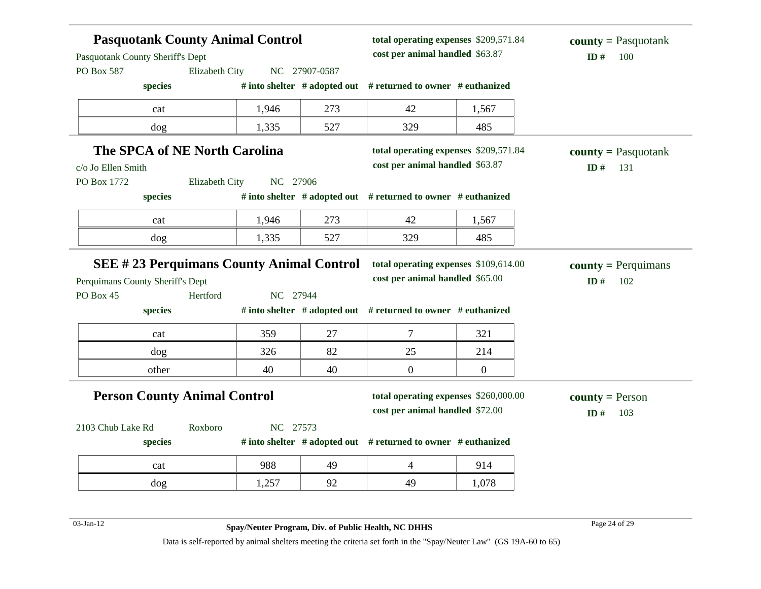| Pasquotank County Sheriff's Dept                                              |                | <b>Pasquotank County Animal Control</b> |               | total operating expenses \$209,571.84<br>cost per animal handled \$63.87 |                  | <b>county</b> = Pasquotank<br>ID#<br>100 |
|-------------------------------------------------------------------------------|----------------|-----------------------------------------|---------------|--------------------------------------------------------------------------|------------------|------------------------------------------|
| PO Box 587                                                                    | Elizabeth City |                                         | NC 27907-0587 |                                                                          |                  |                                          |
| species                                                                       |                |                                         |               | # into shelter # adopted out # returned to owner # euthanized            |                  |                                          |
| cat                                                                           |                | 1,946                                   | 273           | 42                                                                       | 1,567            |                                          |
| dog                                                                           |                | 1,335                                   | 527           | 329                                                                      | 485              |                                          |
| The SPCA of NE North Carolina<br>c/o Jo Ellen Smith                           |                |                                         |               | total operating expenses \$209,571.84<br>cost per animal handled \$63.87 |                  | $county = Pasquotank$<br>ID#<br>131      |
| PO Box 1772                                                                   | Elizabeth City | NC 27906                                |               |                                                                          |                  |                                          |
| species                                                                       |                |                                         |               | # into shelter # adopted out # returned to owner # euthanized            |                  |                                          |
| cat                                                                           |                | 1,946                                   | 273           | 42                                                                       | 1,567            |                                          |
| dog                                                                           |                | 1,335                                   | 527           | 329                                                                      | 485              |                                          |
|                                                                               |                |                                         |               |                                                                          |                  |                                          |
| <b>SEE #23 Perquimans County Animal Control</b>                               | Hertford       | NC 27944                                |               | total operating expenses \$109,614.00<br>cost per animal handled \$65.00 |                  | <b>county</b> = Perquimans<br>ID#<br>102 |
| species                                                                       |                |                                         |               | # into shelter # adopted out # returned to owner # euthanized            |                  |                                          |
| cat                                                                           |                | 359                                     | 27            | 7                                                                        | 321              |                                          |
| dog                                                                           |                | 326                                     | 82            | 25                                                                       | 214              |                                          |
| other                                                                         |                | 40                                      | 40            | $\boldsymbol{0}$                                                         | $\boldsymbol{0}$ |                                          |
| <b>Person County Animal Control</b>                                           |                |                                         |               | total operating expenses \$260,000.00<br>cost per animal handled \$72.00 |                  | $county = Person$<br>ID $#$<br>103       |
|                                                                               | Roxboro        | NC 27573                                |               |                                                                          |                  |                                          |
| Perquimans County Sheriff's Dept<br>PO Box 45<br>2103 Chub Lake Rd<br>species |                |                                         |               | # into shelter # adopted out # returned to owner # euthanized            |                  |                                          |
| cat                                                                           |                | 988                                     | 49            | 4                                                                        | 914              |                                          |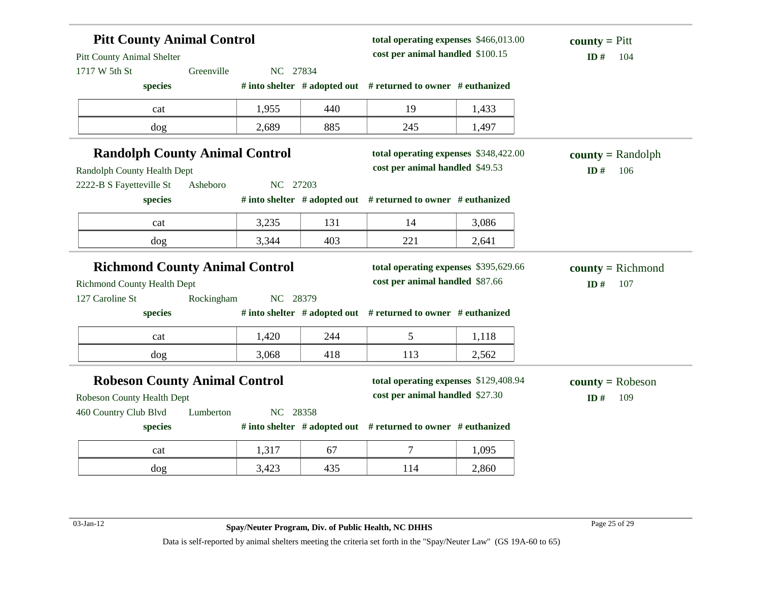| <b>Pitt County Animal Control</b><br><b>Pitt County Animal Shelter</b><br>1717 W 5th St                                     | Greenville | NC 27834 |     | total operating expenses \$466,013.00<br>cost per animal handled \$100.15       |       | <b>county</b> = $P$ itt<br>ID#<br>104 |
|-----------------------------------------------------------------------------------------------------------------------------|------------|----------|-----|---------------------------------------------------------------------------------|-------|---------------------------------------|
| species                                                                                                                     |            |          |     | # into shelter # adopted out # returned to owner # euthanized                   |       |                                       |
| cat                                                                                                                         |            | 1,955    | 440 | 19                                                                              | 1,433 |                                       |
| dog                                                                                                                         |            | 2,689    | 885 | 245                                                                             | 1,497 |                                       |
| <b>Randolph County Animal Control</b><br>Randolph County Health Dept                                                        |            |          |     | total operating expenses \$348,422.00<br>cost per animal handled \$49.53        |       | $county = Randombh$<br>ID#<br>106     |
| 2222-B S Fayetteville St<br>species                                                                                         | Asheboro   | NC 27203 |     | # into shelter # adopted out # returned to owner # euthanized                   |       |                                       |
| cat                                                                                                                         |            | 3,235    | 131 | 14                                                                              | 3,086 |                                       |
|                                                                                                                             |            |          |     |                                                                                 |       |                                       |
| dog                                                                                                                         |            | 3,344    | 403 | 221                                                                             | 2,641 |                                       |
| <b>Richmond County Animal Control</b>                                                                                       |            |          |     | total operating expenses \$395,629.66<br>cost per animal handled \$87.66        |       | $county = Richard$<br>ID#<br>107      |
| species                                                                                                                     | Rockingham | NC 28379 |     | # into shelter # adopted out # returned to owner # euthanized                   |       |                                       |
| cat                                                                                                                         |            | 1,420    | 244 | 5                                                                               | 1,118 |                                       |
| dog                                                                                                                         |            | 3,068    | 418 | 113                                                                             | 2,562 |                                       |
| <b>Richmond County Health Dept</b><br>127 Caroline St<br><b>Robeson County Animal Control</b><br>Robeson County Health Dept |            |          |     | total operating expenses \$129,408.94<br>cost per animal handled \$27.30        |       | $county = Robeson$<br>ID#<br>109      |
|                                                                                                                             | Lumberton  | NC 28358 |     |                                                                                 |       |                                       |
| 460 Country Club Blvd<br>species<br>cat                                                                                     |            | 1,317    | 67  | # into shelter # adopted out # returned to owner # euthanized<br>$\overline{7}$ | 1,095 |                                       |

03-Jan-12 Page 25 of 29 **Spay/Neuter Program, Div. of Public Health, NC DHHS**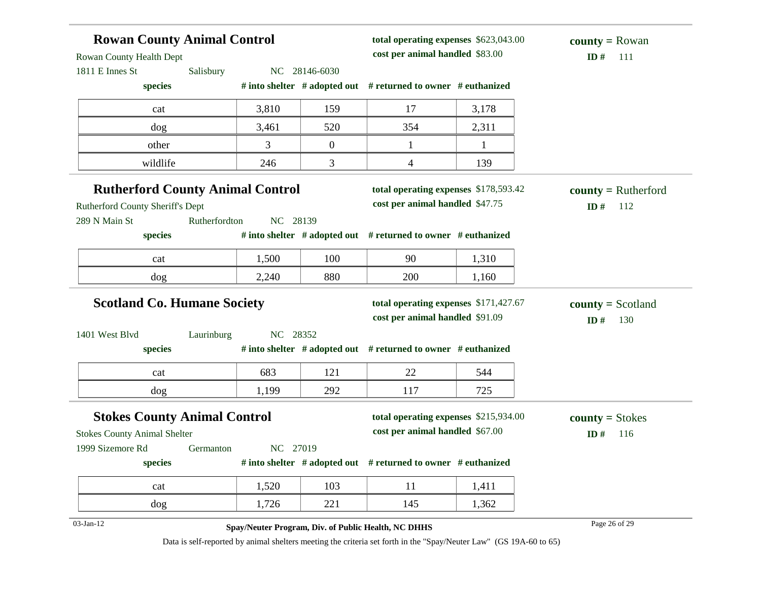| <b>Rowan County Animal Control</b><br>Rowan County Health Dept |               |          |                  | total operating expenses \$623,043.00<br>cost per animal handled \$83.00 |       | <b>county</b> = Rowan<br>ID#<br>111 |
|----------------------------------------------------------------|---------------|----------|------------------|--------------------------------------------------------------------------|-------|-------------------------------------|
| 1811 E Innes St                                                | Salisbury     |          | NC 28146-6030    |                                                                          |       |                                     |
| species                                                        |               |          |                  | # into shelter # adopted out # returned to owner # euthanized            |       |                                     |
| cat                                                            |               | 3,810    | 159              | 17                                                                       | 3,178 |                                     |
| dog                                                            |               | 3,461    | 520              | 354                                                                      | 2,311 |                                     |
| other                                                          |               | 3        | $\boldsymbol{0}$ | 1                                                                        | 1     |                                     |
| wildlife                                                       |               | 246      | 3                | 4                                                                        | 139   |                                     |
| <b>Rutherford County Animal Control</b>                        |               |          |                  | total operating expenses \$178,593.42                                    |       | $county = Rutherford$               |
| Rutherford County Sheriff's Dept                               |               |          |                  | cost per animal handled \$47.75                                          |       | ID#<br>112                          |
| 289 N Main St                                                  | Rutherfordton | NC 28139 |                  |                                                                          |       |                                     |
| species                                                        |               |          |                  | # into shelter # adopted out # returned to owner # euthanized            |       |                                     |
| cat                                                            |               | 1,500    | 100              | 90                                                                       | 1,310 |                                     |
| dog                                                            |               | 2,240    | 880              | 200                                                                      | 1,160 |                                     |
| <b>Scotland Co. Humane Society</b>                             |               |          |                  | total operating expenses \$171,427.67                                    |       | $\text{county} = \text{Scoland}$    |
|                                                                |               |          |                  | cost per animal handled \$91.09                                          |       | ID#<br>130                          |
| 1401 West Blvd                                                 | Laurinburg    | NC 28352 |                  |                                                                          |       |                                     |
| species                                                        |               |          |                  | # into shelter $#$ adopted out $#$ returned to owner $#$ euthanized      |       |                                     |
| cat                                                            |               | 683      | 121              | 22                                                                       | 544   |                                     |
| dog                                                            |               | 1,199    | 292              | 117                                                                      | 725   |                                     |
| <b>Stokes County Animal Control</b>                            |               |          |                  | total operating expenses \$215,934.00                                    |       | $county = Stokes$                   |
| <b>Stokes County Animal Shelter</b>                            |               |          |                  | cost per animal handled \$67.00                                          |       | ID#<br>116                          |
| 1999 Sizemore Rd                                               | Germanton     | NC 27019 |                  |                                                                          |       |                                     |
| species                                                        |               |          |                  | # into shelter # adopted out # returned to owner # euthanized            |       |                                     |
| cat                                                            |               | 1,520    | 103              | 11                                                                       | 1,411 |                                     |
| dog                                                            |               | 1,726    | 221              | 145                                                                      | 1,362 |                                     |
| 03-Jan-12                                                      |               |          |                  | Spay/Neuter Program, Div. of Public Health, NC DHHS                      |       | Page 26 of 29                       |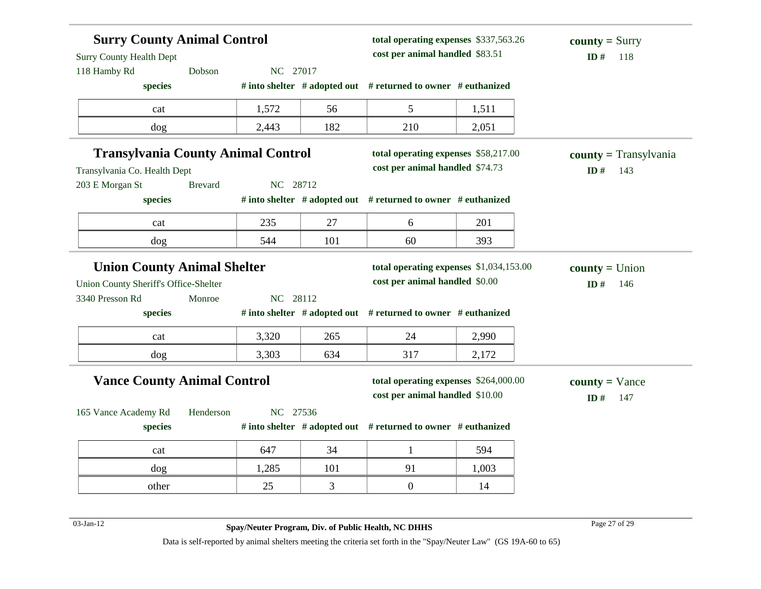| <b>Surry County Animal Control</b><br><b>Surry County Health Dept</b><br>118 Hamby Rd | Dobson         | NC 27017 |     | total operating expenses \$337,563.26<br>cost per animal handled \$83.51 |       | <b>county</b> = Surry<br>ID#<br>118   |
|---------------------------------------------------------------------------------------|----------------|----------|-----|--------------------------------------------------------------------------|-------|---------------------------------------|
| species                                                                               |                |          |     | # into shelter # adopted out # returned to owner # euthanized            |       |                                       |
| cat                                                                                   |                | 1,572    | 56  | 5                                                                        | 1,511 |                                       |
| dog                                                                                   |                | 2,443    | 182 | 210                                                                      | 2,051 |                                       |
| <b>Transylvania County Animal Control</b><br>Transylvania Co. Health Dept             |                |          |     | total operating expenses \$58,217.00<br>cost per animal handled \$74.73  |       | $county = Transylvania$<br>ID#<br>143 |
| 203 E Morgan St                                                                       | <b>Brevard</b> | NC 28712 |     |                                                                          |       |                                       |
| species                                                                               |                |          |     | # into shelter # adopted out # returned to owner # euthanized            |       |                                       |
| cat                                                                                   |                | 235      | 27  | 6                                                                        | 201   |                                       |
| dog                                                                                   |                | 544      | 101 | 60                                                                       | 393   |                                       |
| <b>Union County Animal Shelter</b>                                                    |                |          |     | total operating expenses \$1,034,153.00                                  |       | $county = Union$                      |
| Union County Sheriff's Office-Shelter                                                 |                |          |     | cost per animal handled \$0.00                                           |       | ID#<br>146                            |
| 3340 Presson Rd                                                                       | Monroe         | NC 28112 |     |                                                                          |       |                                       |
| species                                                                               |                |          |     | # into shelter # adopted out # returned to owner # euthanized            |       |                                       |
| cat                                                                                   |                | 3,320    | 265 | 24                                                                       | 2,990 |                                       |
| dog                                                                                   |                | 3,303    | 634 | 317                                                                      | 2,172 |                                       |
| <b>Vance County Animal Control</b>                                                    |                |          |     | total operating expenses \$264,000.00<br>cost per animal handled \$10.00 |       | $county = \text{Vance}$<br>ID#<br>147 |
| 165 Vance Academy Rd                                                                  | Henderson      | NC 27536 |     |                                                                          |       |                                       |
| species                                                                               |                |          |     | # into shelter # adopted out # returned to owner # euthanized            |       |                                       |
| cat                                                                                   |                | 647      | 34  | $\mathbf{1}$                                                             | 594   |                                       |
| dog                                                                                   |                | 1,285    | 101 | 91                                                                       | 1,003 |                                       |
| other                                                                                 |                | 25       | 3   | $\mathbf{0}$                                                             | 14    |                                       |

03-Jan-12 Page 27 of 29 **Spay/Neuter Program, Div. of Public Health, NC DHHS**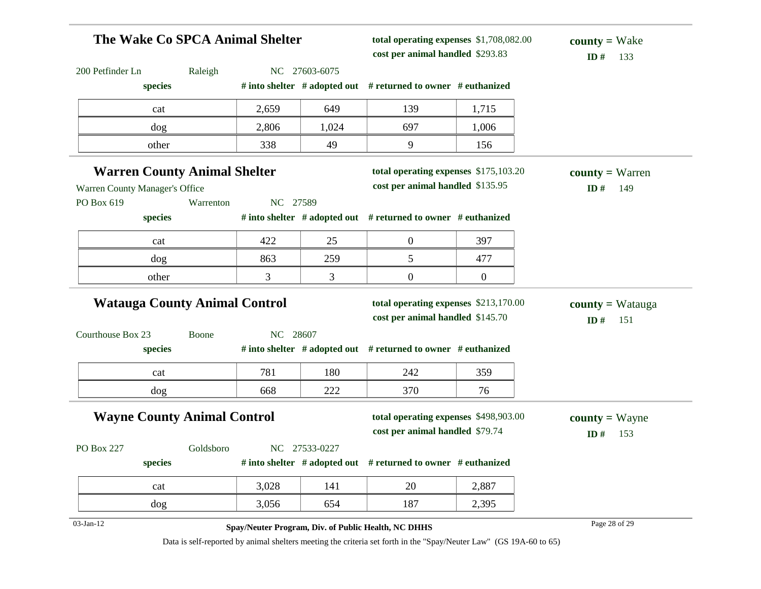| The Wake Co SPCA Animal Shelter      |           |          |               | total operating expenses \$1,708,082.00<br>cost per animal handled \$293.83 |                  | $county = Wake$<br>ID $#$<br>133      |
|--------------------------------------|-----------|----------|---------------|-----------------------------------------------------------------------------|------------------|---------------------------------------|
| 200 Petfinder Ln                     | Raleigh   |          | NC 27603-6075 |                                                                             |                  |                                       |
| species                              |           |          |               | # into shelter $#$ adopted out $#$ returned to owner $#$ euthanized         |                  |                                       |
| cat                                  |           | 2,659    | 649           | 139                                                                         | 1,715            |                                       |
| dog                                  |           | 2,806    | 1,024         | 697                                                                         | 1,006            |                                       |
| other                                |           | 338      | 49            | 9                                                                           | 156              |                                       |
| <b>Warren County Animal Shelter</b>  |           |          |               | total operating expenses \$175,103.20                                       |                  | $county = Warren$                     |
| Warren County Manager's Office       |           |          |               | cost per animal handled \$135.95                                            |                  | ID#<br>149                            |
| PO Box 619                           | Warrenton | NC 27589 |               |                                                                             |                  |                                       |
| species                              |           |          |               | # into shelter $#$ adopted out $#$ returned to owner $#$ euthanized         |                  |                                       |
| cat                                  |           | 422      | 25            | $\boldsymbol{0}$                                                            | 397              |                                       |
| dog                                  |           | 863      | 259           | 5                                                                           | 477              |                                       |
| other                                |           | 3        | 3             | $\overline{0}$                                                              | $\boldsymbol{0}$ |                                       |
| <b>Watauga County Animal Control</b> |           |          |               | total operating expenses \$213,170.00<br>cost per animal handled \$145.70   |                  | <b>county</b> = Watauga<br>ID#<br>151 |
| Courthouse Box 23                    | Boone     | NC 28607 |               |                                                                             |                  |                                       |
| species                              |           |          |               | # into shelter # adopted out # returned to owner # euthanized               |                  |                                       |
| cat                                  |           | 781      | 180           | 242                                                                         | 359              |                                       |
| dog                                  |           | 668      | 222           | 370                                                                         | 76               |                                       |
| <b>Wayne County Animal Control</b>   |           |          |               | total operating expenses \$498,903.00<br>cost per animal handled \$79.74    |                  | $countv = Wayne$<br>ID#<br>153        |
| PO Box 227                           | Goldsboro |          | NC 27533-0227 |                                                                             |                  |                                       |
| species                              |           |          |               | # into shelter $#$ adopted out $#$ returned to owner $#$ euthanized         |                  |                                       |
| cat                                  |           | 3,028    | 141           | 20                                                                          | 2,887            |                                       |
|                                      |           |          |               |                                                                             |                  |                                       |
| dog                                  |           | 3,056    | 654           | 187                                                                         | 2,395            |                                       |